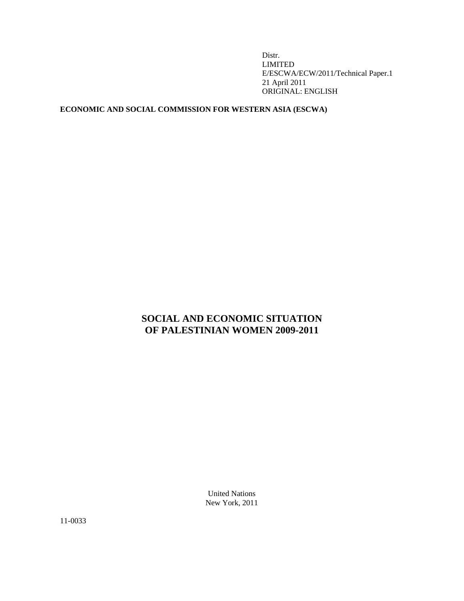Distr. LIMITED E/ESCWA/ECW/2011/Technical Paper.1 21 April 2011 ORIGINAL: ENGLISH

## **ECONOMIC AND SOCIAL COMMISSION FOR WESTERN ASIA (ESCWA)**

# **SOCIAL AND ECONOMIC SITUATION OF PALESTINIAN WOMEN 2009-2011**

United Nations New York, 2011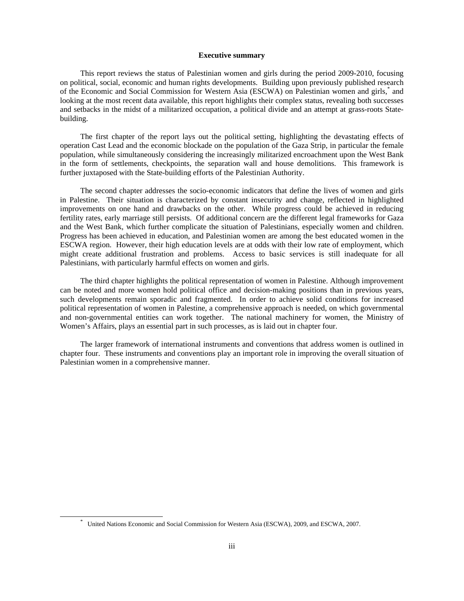## **Executive summary**

 This report reviews the status of Palestinian women and girls during the period 2009-2010, focusing on political, social, economic and human rights developments. Building upon previously published research of the Economic and Social Commission for Western Asia (ESCWA) on Palestinian women and girls,<sup>\*</sup> and looking at the most recent data available, this report highlights their complex status, revealing both successes and setbacks in the midst of a militarized occupation, a political divide and an attempt at grass-roots Statebuilding.

 The first chapter of the report lays out the political setting, highlighting the devastating effects of operation Cast Lead and the economic blockade on the population of the Gaza Strip, in particular the female population, while simultaneously considering the increasingly militarized encroachment upon the West Bank in the form of settlements, checkpoints, the separation wall and house demolitions. This framework is further juxtaposed with the State-building efforts of the Palestinian Authority.

 The second chapter addresses the socio-economic indicators that define the lives of women and girls in Palestine. Their situation is characterized by constant insecurity and change, reflected in highlighted improvements on one hand and drawbacks on the other. While progress could be achieved in reducing fertility rates, early marriage still persists. Of additional concern are the different legal frameworks for Gaza and the West Bank, which further complicate the situation of Palestinians, especially women and children. Progress has been achieved in education, and Palestinian women are among the best educated women in the ESCWA region. However, their high education levels are at odds with their low rate of employment, which might create additional frustration and problems. Access to basic services is still inadequate for all Palestinians, with particularly harmful effects on women and girls.

 The third chapter highlights the political representation of women in Palestine. Although improvement can be noted and more women hold political office and decision-making positions than in previous years, such developments remain sporadic and fragmented. In order to achieve solid conditions for increased political representation of women in Palestine, a comprehensive approach is needed, on which governmental and non-governmental entities can work together. The national machinery for women, the Ministry of Women's Affairs, plays an essential part in such processes, as is laid out in chapter four.

 The larger framework of international instruments and conventions that address women is outlined in chapter four. These instruments and conventions play an important role in improving the overall situation of Palestinian women in a comprehensive manner.

 <sup>\*</sup> United Nations Economic and Social Commission for Western Asia (ESCWA), 2009, and ESCWA, 2007.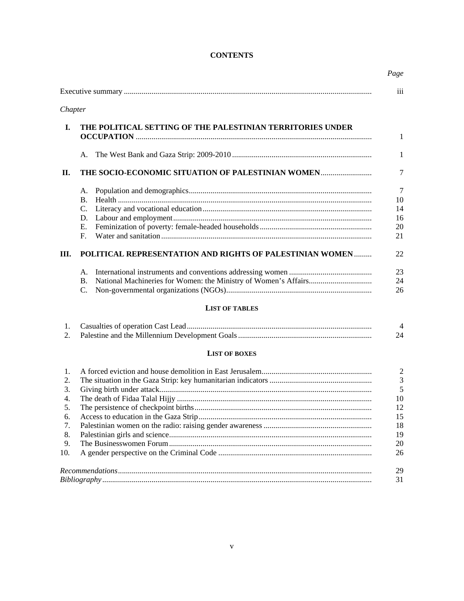## **CONTENTS**

|         |                                                            | Page<br>iii     |  |  |  |
|---------|------------------------------------------------------------|-----------------|--|--|--|
| Chapter |                                                            |                 |  |  |  |
|         |                                                            |                 |  |  |  |
| I.      | THE POLITICAL SETTING OF THE PALESTINIAN TERRITORIES UNDER |                 |  |  |  |
|         |                                                            |                 |  |  |  |
|         | А.                                                         |                 |  |  |  |
| П.      | THE SOCIO-ECONOMIC SITUATION OF PALESTINIAN WOMEN          |                 |  |  |  |
|         | A.                                                         | $7\phantom{.0}$ |  |  |  |
|         | B.                                                         | 10              |  |  |  |
|         | $C_{\cdot}$                                                | 14              |  |  |  |
|         | D.                                                         | 16              |  |  |  |
|         | Ε.                                                         | 20              |  |  |  |
|         | F.                                                         | 21              |  |  |  |
| Ш.      | POLITICAL REPRESENTATION AND RIGHTS OF PALESTINIAN WOMEN   |                 |  |  |  |
|         | А.                                                         | 23              |  |  |  |
|         | <b>B.</b>                                                  | 24              |  |  |  |
|         | C.                                                         | 26              |  |  |  |
|         | <b>LIST OF TABLES</b>                                      |                 |  |  |  |
| 1.      |                                                            |                 |  |  |  |
| 2.      |                                                            | 24              |  |  |  |
|         | <b>LIST OF BOXES</b>                                       |                 |  |  |  |
| 1.      |                                                            |                 |  |  |  |
| 2.      |                                                            |                 |  |  |  |
| 3.      |                                                            |                 |  |  |  |
| 4.      |                                                            |                 |  |  |  |
|         |                                                            |                 |  |  |  |
| 6.      |                                                            |                 |  |  |  |
| 7.      |                                                            |                 |  |  |  |
| 8.      |                                                            |                 |  |  |  |
| 9.      |                                                            |                 |  |  |  |
| 10.     |                                                            | 26              |  |  |  |
|         |                                                            | 29              |  |  |  |
|         |                                                            | 31              |  |  |  |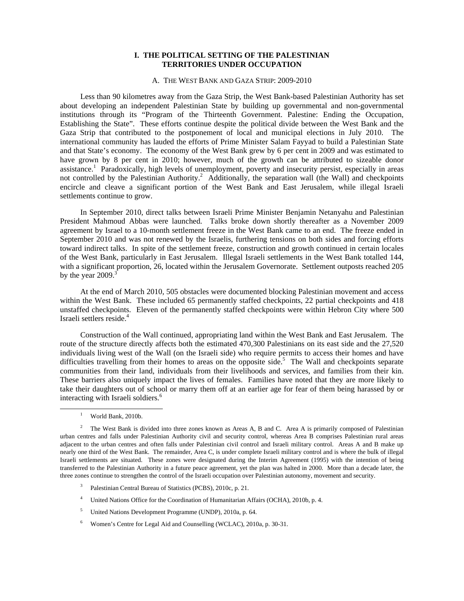## **I. THE POLITICAL SETTING OF THE PALESTINIAN TERRITORIES UNDER OCCUPATION**

## A. THE WEST BANK AND GAZA STRIP: 2009-2010

 Less than 90 kilometres away from the Gaza Strip, the West Bank-based Palestinian Authority has set about developing an independent Palestinian State by building up governmental and non-governmental institutions through its "Program of the Thirteenth Government. Palestine: Ending the Occupation, Establishing the State". These efforts continue despite the political divide between the West Bank and the Gaza Strip that contributed to the postponement of local and municipal elections in July 2010. The international community has lauded the efforts of Prime Minister Salam Fayyad to build a Palestinian State and that State's economy. The economy of the West Bank grew by 6 per cent in 2009 and was estimated to have grown by 8 per cent in 2010; however, much of the growth can be attributed to sizeable donor assistance.<sup>1</sup> Paradoxically, high levels of unemployment, poverty and insecurity persist, especially in areas not controlled by the Palestinian Authority.<sup>2</sup> Additionally, the separation wall (the Wall) and checkpoints encircle and cleave a significant portion of the West Bank and East Jerusalem, while illegal Israeli settlements continue to grow.

 In September 2010, direct talks between Israeli Prime Minister Benjamin Netanyahu and Palestinian President Mahmoud Abbas were launched. Talks broke down shortly thereafter as a November 2009 agreement by Israel to a 10-month settlement freeze in the West Bank came to an end. The freeze ended in September 2010 and was not renewed by the Israelis, furthering tensions on both sides and forcing efforts toward indirect talks. In spite of the settlement freeze, construction and growth continued in certain locales of the West Bank, particularly in East Jerusalem. Illegal Israeli settlements in the West Bank totalled 144, with a significant proportion, 26, located within the Jerusalem Governorate. Settlement outposts reached 205 by the year  $2009.<sup>3</sup>$ 

 At the end of March 2010, 505 obstacles were documented blocking Palestinian movement and access within the West Bank. These included 65 permanently staffed checkpoints, 22 partial checkpoints and 418 unstaffed checkpoints. Eleven of the permanently staffed checkpoints were within Hebron City where 500 Israeli settlers reside.<sup>4</sup>

 Construction of the Wall continued, appropriating land within the West Bank and East Jerusalem. The route of the structure directly affects both the estimated 470,300 Palestinians on its east side and the 27,520 individuals living west of the Wall (on the Israeli side) who require permits to access their homes and have difficulties travelling from their homes to areas on the opposite side.<sup>5</sup> The Wall and checkpoints separate communities from their land, individuals from their livelihoods and services, and families from their kin. These barriers also uniquely impact the lives of females. Families have noted that they are more likely to take their daughters out of school or marry them off at an earlier age for fear of them being harassed by or interacting with Israeli soldiers.<sup>6</sup>

- 3 Palestinian Central Bureau of Statistics (PCBS), 2010c, p. 21.
- 4 United Nations Office for the Coordination of Humanitarian Affairs (OCHA), 2010b, p. 4.
- 5 United Nations Development Programme (UNDP), 2010a, p. 64.
- 6 Women's Centre for Legal Aid and Counselling (WCLAC), 2010a, p. 30-31.

 $\frac{1}{1}$ <sup>1</sup> World Bank, 2010b.

<sup>2</sup> The West Bank is divided into three zones known as Areas A, B and C. Area A is primarily composed of Palestinian urban centres and falls under Palestinian Authority civil and security control, whereas Area B comprises Palestinian rural areas adjacent to the urban centres and often falls under Palestinian civil control and Israeli military control. Areas A and B make up nearly one third of the West Bank. The remainder, Area C, is under complete Israeli military control and is where the bulk of illegal Israeli settlements are situated. These zones were designated during the Interim Agreement (1995) with the intention of being transferred to the Palestinian Authority in a future peace agreement, yet the plan was halted in 2000. More than a decade later, the three zones continue to strengthen the control of the Israeli occupation over Palestinian autonomy, movement and security.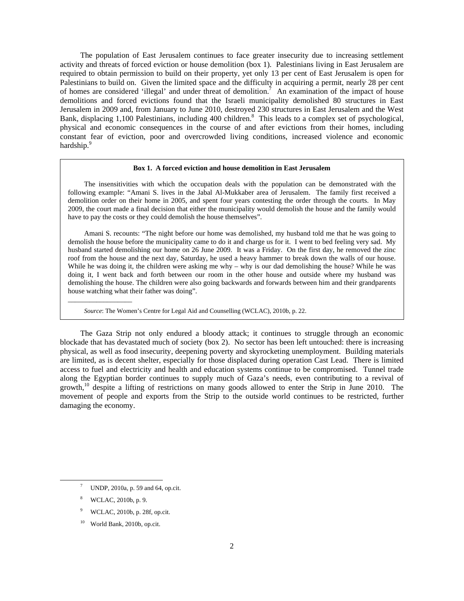The population of East Jerusalem continues to face greater insecurity due to increasing settlement activity and threats of forced eviction or house demolition (box 1). Palestinians living in East Jerusalem are required to obtain permission to build on their property, yet only 13 per cent of East Jerusalem is open for Palestinians to build on. Given the limited space and the difficulty in acquiring a permit, nearly 28 per cent of homes are considered 'illegal' and under threat of demolition.<sup>7</sup> An examination of the impact of house demolitions and forced evictions found that the Israeli municipality demolished 80 structures in East Jerusalem in 2009 and, from January to June 2010, destroyed 230 structures in East Jerusalem and the West Bank, displacing 1,100 Palestinians, including 400 children.<sup>8</sup> This leads to a complex set of psychological, physical and economic consequences in the course of and after evictions from their homes, including constant fear of eviction, poor and overcrowded living conditions, increased violence and economic hardship.<sup>9</sup>

#### **Box 1. A forced eviction and house demolition in East Jerusalem**

 The insensitivities with which the occupation deals with the population can be demonstrated with the following example: "Amani S. lives in the Jabal Al-Mukkaber area of Jerusalem. The family first received a demolition order on their home in 2005, and spent four years contesting the order through the courts. In May 2009, the court made a final decision that either the municipality would demolish the house and the family would have to pay the costs or they could demolish the house themselves".

 Amani S. recounts: "The night before our home was demolished, my husband told me that he was going to demolish the house before the municipality came to do it and charge us for it. I went to bed feeling very sad. My husband started demolishing our home on 26 June 2009. It was a Friday. On the first day, he removed the zinc roof from the house and the next day, Saturday, he used a heavy hammer to break down the walls of our house. While he was doing it, the children were asking me why – why is our dad demolishing the house? While he was doing it, I went back and forth between our room in the other house and outside where my husband was demolishing the house. The children were also going backwards and forwards between him and their grandparents house watching what their father was doing".

*Source*: The Women's Centre for Legal Aid and Counselling (WCLAC), 2010b, p. 22.

 The Gaza Strip not only endured a bloody attack; it continues to struggle through an economic blockade that has devastated much of society (box 2). No sector has been left untouched: there is increasing physical, as well as food insecurity, deepening poverty and skyrocketing unemployment. Building materials are limited, as is decent shelter, especially for those displaced during operation Cast Lead. There is limited access to fuel and electricity and health and education systems continue to be compromised. Tunnel trade along the Egyptian border continues to supply much of Gaza's needs, even contributing to a revival of growth, $^{10}$  despite a lifting of restrictions on many goods allowed to enter the Strip in June 2010. The movement of people and exports from the Strip to the outside world continues to be restricted, further damaging the economy.

\_\_\_\_\_\_\_\_\_\_\_\_\_\_\_\_\_\_

 $\frac{1}{7}$ UNDP, 2010a, p. 59 and 64, op.cit.

<sup>8</sup> WCLAC, 2010b, p. 9.

<sup>9</sup> WCLAC, 2010b, p. 28f, op.cit.

<sup>10</sup> World Bank, 2010b, op.cit.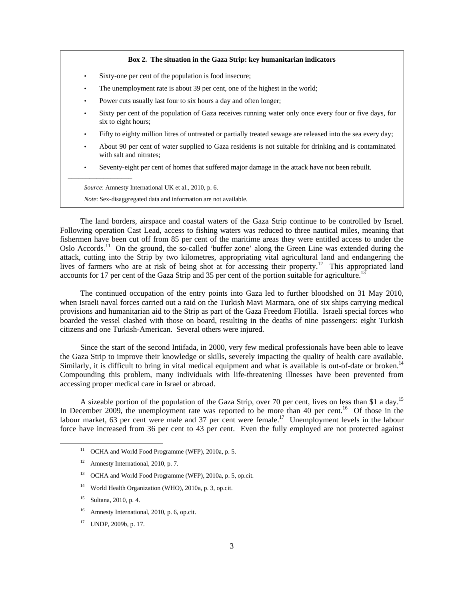#### **Box 2. The situation in the Gaza Strip: key humanitarian indicators**

- Sixty-one per cent of the population is food insecure;
- The unemployment rate is about 39 per cent, one of the highest in the world;
- Power cuts usually last four to six hours a day and often longer;
- Sixty per cent of the population of Gaza receives running water only once every four or five days, for six to eight hours;
- Fifty to eighty million litres of untreated or partially treated sewage are released into the sea every day;
- About 90 per cent of water supplied to Gaza residents is not suitable for drinking and is contaminated with salt and nitrates;
- Seventy-eight per cent of homes that suffered major damage in the attack have not been rebuilt.

 *Source*: Amnesty International UK et al., 2010, p. 6.

\_\_\_\_\_\_\_\_\_\_\_\_\_\_\_\_\_\_

 *Note*: Sex-disaggregated data and information are not available.

 The land borders, airspace and coastal waters of the Gaza Strip continue to be controlled by Israel. Following operation Cast Lead, access to fishing waters was reduced to three nautical miles, meaning that fishermen have been cut off from 85 per cent of the maritime areas they were entitled access to under the Oslo Accords.<sup>11</sup> On the ground, the so-called 'buffer zone' along the Green Line was extended during the attack, cutting into the Strip by two kilometres, appropriating vital agricultural land and endangering the lives of farmers who are at risk of being shot at for accessing their property.<sup>12</sup> This appropriated land accounts for 17 per cent of the Gaza Strip and 35 per cent of the portion suitable for agriculture.<sup>13</sup>

 The continued occupation of the entry points into Gaza led to further bloodshed on 31 May 2010, when Israeli naval forces carried out a raid on the Turkish Mavi Marmara, one of six ships carrying medical provisions and humanitarian aid to the Strip as part of the Gaza Freedom Flotilla. Israeli special forces who boarded the vessel clashed with those on board, resulting in the deaths of nine passengers: eight Turkish citizens and one Turkish-American. Several others were injured.

 Since the start of the second Intifada, in 2000, very few medical professionals have been able to leave the Gaza Strip to improve their knowledge or skills, severely impacting the quality of health care available. Similarly, it is difficult to bring in vital medical equipment and what is available is out-of-date or broken.<sup>14</sup> Compounding this problem, many individuals with life-threatening illnesses have been prevented from accessing proper medical care in Israel or abroad.

A sizeable portion of the population of the Gaza Strip, over 70 per cent, lives on less than \$1 a day.<sup>15</sup> In December 2009, the unemployment rate was reported to be more than 40 per cent.<sup>16</sup> Of those in the labour market, 63 per cent were male and 37 per cent were female.<sup>17</sup> Unemployment levels in the labour force have increased from 36 per cent to 43 per cent. Even the fully employed are not protected against

- <sup>13</sup> OCHA and World Food Programme (WFP), 2010a, p. 5, op.cit.
- 14 World Health Organization (WHO), 2010a, p. 3, op.cit.
- 15 Sultana, 2010, p. 4.
- 16 Amnesty International, 2010, p. 6, op.cit.
- 17 UNDP, 2009b, p. 17.

 <sup>11</sup> OCHA and World Food Programme (WFP), 2010a, p. 5.

<sup>&</sup>lt;sup>12</sup> Amnesty International, 2010, p. 7.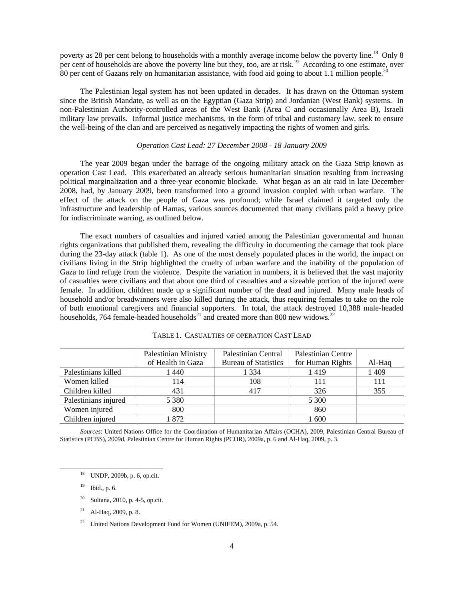poverty as 28 per cent belong to households with a monthly average income below the poverty line.<sup>18</sup> Only 8 per cent of households are above the poverty line but they, too, are at risk.<sup>19</sup> According to one estimate, over 80 per cent of Gazans rely on humanitarian assistance, with food aid going to about 1.1 million people.<sup>20</sup>

 The Palestinian legal system has not been updated in decades. It has drawn on the Ottoman system since the British Mandate, as well as on the Egyptian (Gaza Strip) and Jordanian (West Bank) systems. In non-Palestinian Authority-controlled areas of the West Bank (Area C and occasionally Area B), Israeli military law prevails. Informal justice mechanisms, in the form of tribal and customary law, seek to ensure the well-being of the clan and are perceived as negatively impacting the rights of women and girls.

## *Operation Cast Lead: 27 December 2008 - 18 January 2009*

 The year 2009 began under the barrage of the ongoing military attack on the Gaza Strip known as operation Cast Lead. This exacerbated an already serious humanitarian situation resulting from increasing political marginalization and a three-year economic blockade. What began as an air raid in late December 2008, had, by January 2009, been transformed into a ground invasion coupled with urban warfare. The effect of the attack on the people of Gaza was profound; while Israel claimed it targeted only the infrastructure and leadership of Hamas, various sources documented that many civilians paid a heavy price for indiscriminate warring, as outlined below.

 The exact numbers of casualties and injured varied among the Palestinian governmental and human rights organizations that published them, revealing the difficulty in documenting the carnage that took place during the 23-day attack (table 1). As one of the most densely populated places in the world, the impact on civilians living in the Strip highlighted the cruelty of urban warfare and the inability of the population of Gaza to find refuge from the violence. Despite the variation in numbers, it is believed that the vast majority of casualties were civilians and that about one third of casualties and a sizeable portion of the injured were female. In addition, children made up a significant number of the dead and injured. Many male heads of household and/or breadwinners were also killed during the attack, thus requiring females to take on the role of both emotional caregivers and financial supporters. In total, the attack destroyed 10,388 male-headed households, 764 female-headed households<sup>21</sup> and created more than 800 new widows.<sup>22</sup>

|                      | <b>Palestinian Ministry</b> | Palestinian Central         | <b>Palestinian Centre</b> |        |
|----------------------|-----------------------------|-----------------------------|---------------------------|--------|
|                      | of Health in Gaza           | <b>Bureau of Statistics</b> | for Human Rights          | Al-Haq |
| Palestinians killed  | l 440                       | 1 3 3 4                     | 1419                      | 1 409  |
| Women killed         | 114                         | 108                         | 111                       | 111    |
| Children killed      | 431                         | 417                         | 326                       | 355    |
| Palestinians injured | 5 3 8 0                     |                             | 5 300                     |        |
| Women injured        | 800                         |                             | 860                       |        |
| Children injured     | 872                         |                             | 1 600                     |        |

TABLE 1. CASUALTIES OF OPERATION CAST LEAD

 *Sources*: United Nations Office for the Coordination of Humanitarian Affairs (OCHA), 2009*,* Palestinian Central Bureau of Statistics (PCBS), 2009d, Palestinian Centre for Human Rights (PCHR), 2009a, p. 6 and Al-Haq, 2009, p. 3.

 <sup>18</sup> UNDP, 2009b, p. 6, op.cit.

<sup>19</sup> Ibid., p. 6.

<sup>20</sup> Sultana, 2010, p. 4-5, op.cit.

 $21$  Al-Haq, 2009, p. 8.

<sup>&</sup>lt;sup>22</sup> United Nations Development Fund for Women (UNIFEM), 2009a, p. 54.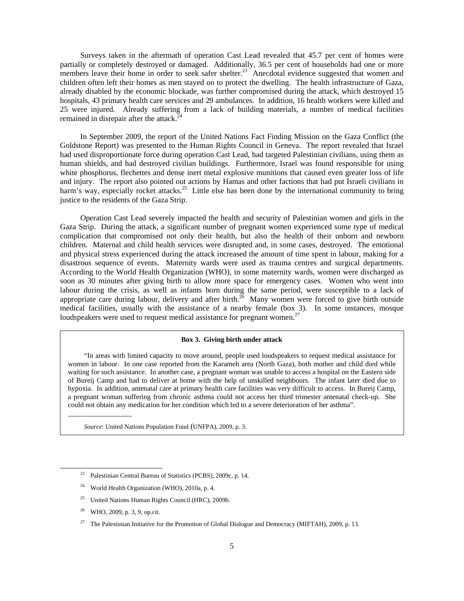Surveys taken in the aftermath of operation Cast Lead revealed that 45.7 per cent of homes were partially or completely destroyed or damaged. Additionally, 36.5 per cent of households had one or more members leave their home in order to seek safer shelter.<sup>23</sup> Anecdotal evidence suggested that women and children often left their homes as men stayed on to protect the dwelling. The health infrastructure of Gaza, already disabled by the economic blockade, was further compromised during the attack, which destroyed 15 hospitals, 43 primary health care services and 29 ambulances. In addition, 16 health workers were killed and 25 were injured. Already suffering from a lack of building materials, a number of medical facilities remained in disrepair after the attack.<sup>24</sup>

 In September 2009, the report of the United Nations Fact Finding Mission on the Gaza Conflict (the Goldstone Report) was presented to the Human Rights Council in Geneva. The report revealed that Israel had used disproportionate force during operation Cast Lead, had targeted Palestinian civilians, using them as human shields, and had destroyed civilian buildings. Furthermore, Israel was found responsible for using white phosphorus, flechettes and dense inert metal explosive munitions that caused even greater loss of life and injury. The report also pointed out actions by Hamas and other factions that had put Israeli civilians in harm's way, especially rocket attacks.<sup>25</sup> Little else has been done by the international community to bring justice to the residents of the Gaza Strip.

 Operation Cast Lead severely impacted the health and security of Palestinian women and girls in the Gaza Strip. During the attack, a significant number of pregnant women experienced some type of medical complication that compromised not only their health, but also the health of their unborn and newborn children. Maternal and child health services were disrupted and, in some cases, destroyed. The emotional and physical stress experienced during the attack increased the amount of time spent in labour, making for a disastrous sequence of events. Maternity wards were used as trauma centres and surgical departments. According to the World Health Organization (WHO), in some maternity wards, women were discharged as soon as 30 minutes after giving birth to allow more space for emergency cases. Women who went into labour during the crisis, as well as infants born during the same period, were susceptible to a lack of appropriate care during labour, delivery and after birth.<sup>26</sup> Many women were forced to give birth outside medical facilities, usually with the assistance of a nearby female (box 3). In some instances, mosque loudspeakers were used to request medical assistance for pregnant women. $27$ 

#### **Box 3. Giving birth under attack**

 "In areas with limited capacity to move around, people used loudspeakers to request medical assistance for women in labour. In one case reported from the Karameh area (North Gaza), both mother and child died while waiting for such assistance. In another case, a pregnant woman was unable to access a hospital on the Eastern side of Bureij Camp and had to deliver at home with the help of unskilled neighbours. The infant later died due to hypoxia. In addition, antenatal care at primary health care facilities was very difficult to access. In Bureij Camp, a pregnant woman suffering from chronic asthma could not access her third trimester antenatal check-up. She could not obtain any medication for her condition which led to a severe deterioration of her asthma".

 *Source*: United Nations Population Fund (UNFPA), 2009, p. 3.

- <sup>24</sup> World Health Organization (WHO), 2010a, p. 4.
- 25 United Nations Human Rights Council (HRC), 2009b.
- 26 WHO, 2009, p. 3, 9, op.cit.

\_\_\_\_\_\_\_\_\_\_\_\_\_\_\_\_\_\_

<sup>27</sup> The Palestinian Initiative for the Promotion of Global Dialogue and Democracy (MIFTAH), 2009, p. 13.

 <sup>23</sup> Palestinian Central Bureau of Statistics (PCBS), 2009c, p. 14.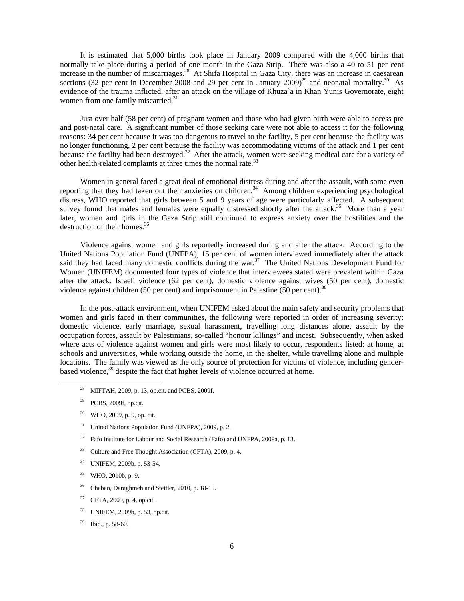It is estimated that 5,000 births took place in January 2009 compared with the 4,000 births that normally take place during a period of one month in the Gaza Strip. There was also a 40 to 51 per cent increase in the number of miscarriages.<sup>28</sup> At Shifa Hospital in Gaza City, there was an increase in caesarean sections (32 per cent in December 2008 and 29 per cent in January  $2009)^{29}$  and neonatal mortality.<sup>30</sup> As evidence of the trauma inflicted, after an attack on the village of Khuza`a in Khan Yunis Governorate, eight women from one family miscarried.<sup>31</sup>

 Just over half (58 per cent) of pregnant women and those who had given birth were able to access pre and post-natal care. A significant number of those seeking care were not able to access it for the following reasons: 34 per cent because it was too dangerous to travel to the facility, 5 per cent because the facility was no longer functioning, 2 per cent because the facility was accommodating victims of the attack and 1 per cent because the facility had been destroyed.<sup>32</sup> After the attack, women were seeking medical care for a variety of other health-related complaints at three times the normal rate.<sup>33</sup>

 Women in general faced a great deal of emotional distress during and after the assault, with some even reporting that they had taken out their anxieties on children.<sup>34</sup> Among children experiencing psychological distress, WHO reported that girls between 5 and 9 years of age were particularly affected. A subsequent survey found that males and females were equally distressed shortly after the attack.<sup>35</sup> More than a year later, women and girls in the Gaza Strip still continued to express anxiety over the hostilities and the destruction of their homes.<sup>36</sup>

 Violence against women and girls reportedly increased during and after the attack. According to the United Nations Population Fund (UNFPA), 15 per cent of women interviewed immediately after the attack said they had faced many domestic conflicts during the war.<sup>37</sup> The United Nations Development Fund for Women (UNIFEM) documented four types of violence that interviewees stated were prevalent within Gaza after the attack: Israeli violence (62 per cent), domestic violence against wives (50 per cent), domestic violence against children (50 per cent) and imprisonment in Palestine (50 per cent).<sup>38</sup>

 In the post-attack environment, when UNIFEM asked about the main safety and security problems that women and girls faced in their communities, the following were reported in order of increasing severity: domestic violence, early marriage, sexual harassment, travelling long distances alone, assault by the occupation forces, assault by Palestinians, so-called "honour killings" and incest. Subsequently, when asked where acts of violence against women and girls were most likely to occur, respondents listed: at home, at schools and universities, while working outside the home, in the shelter, while travelling alone and multiple locations. The family was viewed as the only source of protection for victims of violence, including genderbased violence,<sup>39</sup> despite the fact that higher levels of violence occurred at home.

- 28 MIFTAH, 2009, p. 13, op.cit. and PCBS, 2009f.
- $29$  PCBS, 2009f, op.cit.
- <sup>30</sup> WHO, 2009, p. 9, op. cit.
- <sup>31</sup> United Nations Population Fund (UNFPA), 2009, p. 2.
- <sup>32</sup> Fafo Institute for Labour and Social Research (Fafo) and UNFPA, 2009a, p. 13.
- 33 Culture and Free Thought Association (CFTA), 2009, p. 4.
- 34 UNIFEM, 2009b, p. 53-54.
- 35 WHO, 2010b, p. 9.
- 36 Chaban, Daraghmeh and Stettler, 2010, p. 18-19.
- 37 CFTA, 2009, p. 4, op.cit.
- 38 UNIFEM, 2009b, p. 53, op.cit.
- 39 Ibid., p. 58-60.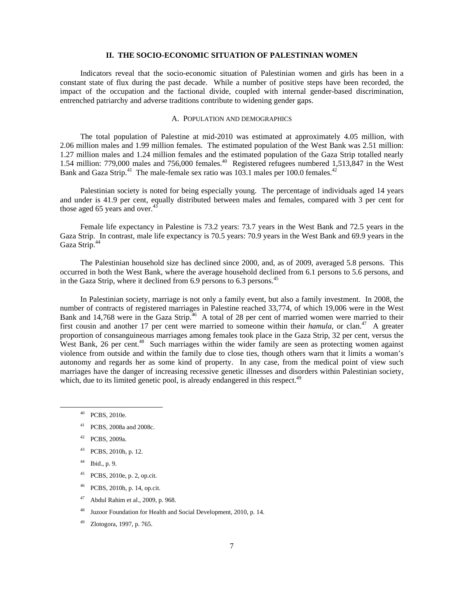## **II. THE SOCIO-ECONOMIC SITUATION OF PALESTINIAN WOMEN**

 Indicators reveal that the socio-economic situation of Palestinian women and girls has been in a constant state of flux during the past decade. While a number of positive steps have been recorded, the impact of the occupation and the factional divide, coupled with internal gender-based discrimination, entrenched patriarchy and adverse traditions contribute to widening gender gaps.

## A. POPULATION AND DEMOGRAPHICS

 The total population of Palestine at mid-2010 was estimated at approximately 4.05 million, with 2.06 million males and 1.99 million females. The estimated population of the West Bank was 2.51 million: 1.27 million males and 1.24 million females and the estimated population of the Gaza Strip totalled nearly 1.54 million: 779,000 males and 756,000 females.<sup>40</sup> Registered refugees numbered 1,513,847 in the West Bank and Gaza Strip.<sup>41</sup> The male-female sex ratio was 103.1 males per 100.0 females.<sup>42</sup>

 Palestinian society is noted for being especially young. The percentage of individuals aged 14 years and under is 41.9 per cent, equally distributed between males and females, compared with 3 per cent for those aged 65 years and over.<sup>4</sup>

 Female life expectancy in Palestine is 73.2 years: 73.7 years in the West Bank and 72.5 years in the Gaza Strip. In contrast, male life expectancy is 70.5 years: 70.9 years in the West Bank and 69.9 years in the Gaza Strip.<sup>44</sup>

 The Palestinian household size has declined since 2000, and, as of 2009, averaged 5.8 persons. This occurred in both the West Bank, where the average household declined from 6.1 persons to 5.6 persons, and in the Gaza Strip, where it declined from  $6.9$  persons to  $6.3$  persons.<sup>45</sup>

 In Palestinian society, marriage is not only a family event, but also a family investment. In 2008, the number of contracts of registered marriages in Palestine reached 33,774, of which 19,006 were in the West Bank and 14,768 were in the Gaza Strip.<sup>46</sup> A total of 28 per cent of married women were married to their first cousin and another 17 per cent were married to someone within their *hamula*, or clan.<sup>47</sup> A greater proportion of consanguineous marriages among females took place in the Gaza Strip, 32 per cent, versus the West Bank, 26 per cent.<sup>48</sup> Such marriages within the wider family are seen as protecting women against violence from outside and within the family due to close ties, though others warn that it limits a woman's autonomy and regards her as some kind of property. In any case, from the medical point of view such marriages have the danger of increasing recessive genetic illnesses and disorders within Palestinian society, which, due to its limited genetic pool, is already endangered in this respect.<sup>49</sup>

- 41 PCBS, 2008a and 2008c.
- 42 PCBS, 2009a.
- 43 PCBS, 2010h, p. 12.
- 44 Ibid., p. 9.
- 45 PCBS, 2010e, p. 2, op.cit.
- 46 PCBS, 2010h, p. 14, op.cit.
- 47 Abdul Rahim et al., 2009, p. 968.
- Juzoor Foundation for Health and Social Development, 2010, p. 14.
- Zlotogora, 1997, p. 765.

 <sup>40</sup> PCBS, 2010e.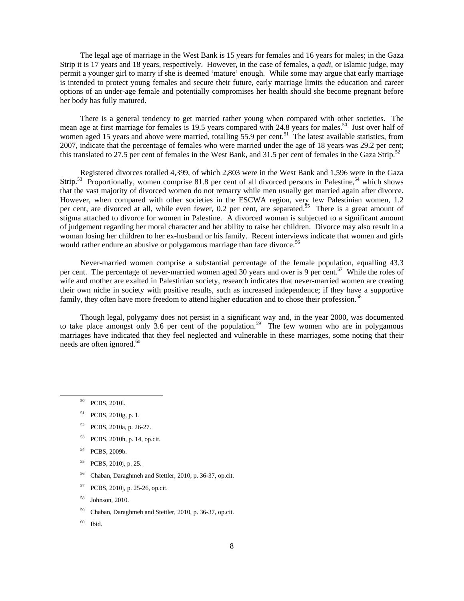The legal age of marriage in the West Bank is 15 years for females and 16 years for males; in the Gaza Strip it is 17 years and 18 years, respectively. However, in the case of females, a *qadi*, or Islamic judge, may permit a younger girl to marry if she is deemed 'mature' enough. While some may argue that early marriage is intended to protect young females and secure their future, early marriage limits the education and career options of an under-age female and potentially compromises her health should she become pregnant before her body has fully matured.

 There is a general tendency to get married rather young when compared with other societies. The mean age at first marriage for females is 19.5 years compared with 24.8 years for males.<sup>50</sup> Just over half of women aged 15 years and above were married, totalling 55.9 per cent.<sup>51</sup> The latest available statistics, from 2007, indicate that the percentage of females who were married under the age of 18 years was 29.2 per cent; this translated to 27.5 per cent of females in the West Bank, and 31.5 per cent of females in the Gaza Strip.<sup>52</sup>

 Registered divorces totalled 4,399, of which 2,803 were in the West Bank and 1,596 were in the Gaza Strip.<sup>53</sup> Proportionally, women comprise 81.8 per cent of all divorced persons in Palestine,<sup>54</sup> which shows that the vast majority of divorced women do not remarry while men usually get married again after divorce. However, when compared with other societies in the ESCWA region, very few Palestinian women, 1.2 per cent, are divorced at all, while even fewer, 0.2 per cent, are separated.<sup>55</sup> There is a great amount of stigma attached to divorce for women in Palestine. A divorced woman is subjected to a significant amount of judgement regarding her moral character and her ability to raise her children. Divorce may also result in a woman losing her children to her ex-husband or his family. Recent interviews indicate that women and girls would rather endure an abusive or polygamous marriage than face divorce.<sup>56</sup>

 Never-married women comprise a substantial percentage of the female population, equalling 43.3 per cent. The percentage of never-married women aged 30 years and over is 9 per cent.<sup>57</sup> While the roles of wife and mother are exalted in Palestinian society, research indicates that never-married women are creating their own niche in society with positive results, such as increased independence; if they have a supportive family, they often have more freedom to attend higher education and to chose their profession.<sup>58</sup>

 Though legal, polygamy does not persist in a significant way and, in the year 2000, was documented to take place amongst only 3.6 per cent of the population.<sup>59</sup> The few women who are in polygamous marriages have indicated that they feel neglected and vulnerable in these marriages, some noting that their needs are often ignored.<sup>60</sup>

- 52 PCBS, 2010a, p. 26-27.
- 53 PCBS, 2010h, p. 14, op.cit.
- 54 PCBS, 2009b.
- 55 PCBS, 2010j, p. 25.
- 56 Chaban, Daraghmeh and Stettler, 2010, p. 36-37, op.cit.
- 57 PCBS, 2010j, p. 25-26, op.cit.
- 58 Johnson, 2010.
- 59 Chaban, Daraghmeh and Stettler, 2010, p. 36-37, op.cit.
- $60$  Ibid.

 <sup>50</sup> PCBS, 2010l.

<sup>51</sup> PCBS, 2010g, p. 1.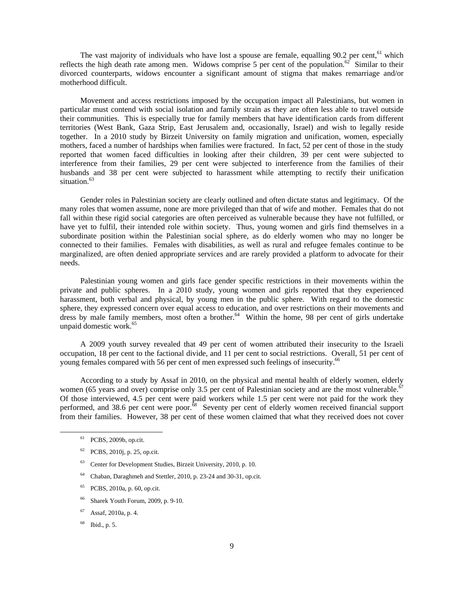The vast majority of individuals who have lost a spouse are female, equalling  $90.2$  per cent, <sup>61</sup> which reflects the high death rate among men. Widows comprise 5 per cent of the population.<sup>62</sup> Similar to their divorced counterparts, widows encounter a significant amount of stigma that makes remarriage and/or motherhood difficult.

 Movement and access restrictions imposed by the occupation impact all Palestinians, but women in particular must contend with social isolation and family strain as they are often less able to travel outside their communities. This is especially true for family members that have identification cards from different territories (West Bank, Gaza Strip, East Jerusalem and, occasionally, Israel) and wish to legally reside together. In a 2010 study by Birzeit University on family migration and unification, women, especially mothers, faced a number of hardships when families were fractured. In fact, 52 per cent of those in the study reported that women faced difficulties in looking after their children, 39 per cent were subjected to interference from their families, 29 per cent were subjected to interference from the families of their husbands and 38 per cent were subjected to harassment while attempting to rectify their unification situation.<sup>63</sup>

 Gender roles in Palestinian society are clearly outlined and often dictate status and legitimacy. Of the many roles that women assume, none are more privileged than that of wife and mother. Females that do not fall within these rigid social categories are often perceived as vulnerable because they have not fulfilled, or have yet to fulfil, their intended role within society. Thus, young women and girls find themselves in a subordinate position within the Palestinian social sphere, as do elderly women who may no longer be connected to their families. Females with disabilities, as well as rural and refugee females continue to be marginalized, are often denied appropriate services and are rarely provided a platform to advocate for their needs.

 Palestinian young women and girls face gender specific restrictions in their movements within the private and public spheres. In a 2010 study, young women and girls reported that they experienced harassment, both verbal and physical, by young men in the public sphere. With regard to the domestic sphere, they expressed concern over equal access to education, and over restrictions on their movements and dress by male family members, most often a brother.<sup>64</sup> Within the home, 98 per cent of girls undertake unpaid domestic work.<sup>65</sup>

 A 2009 youth survey revealed that 49 per cent of women attributed their insecurity to the Israeli occupation, 18 per cent to the factional divide, and 11 per cent to social restrictions. Overall, 51 per cent of young females compared with 56 per cent of men expressed such feelings of insecurity.<sup>66</sup>

 According to a study by Assaf in 2010, on the physical and mental health of elderly women, elderly women (65 years and over) comprise only 3.5 per cent of Palestinian society and are the most vulnerable.<sup>67</sup> Of those interviewed, 4.5 per cent were paid workers while 1.5 per cent were not paid for the work they performed, and 38.6 per cent were poor.<sup>68</sup> Seventy per cent of elderly women received financial support from their families. However, 38 per cent of these women claimed that what they received does not cover

- 63 Center for Development Studies, Birzeit University, 2010, p. 10.
- 64 Chaban, Daraghmeh and Stettler, 2010, p. 23-24 and 30-31, op.cit.
- 65 PCBS, 2010a, p. 60, op.cit.
- 66 Sharek Youth Forum, 2009, p. 9-10.
- 67 Assaf, 2010a, p. 4.
- 68 Ibid., p. 5.

 <sup>61</sup> PCBS, 2009b, op.cit.

<sup>62</sup> PCBS, 2010j, p. 25, op.cit.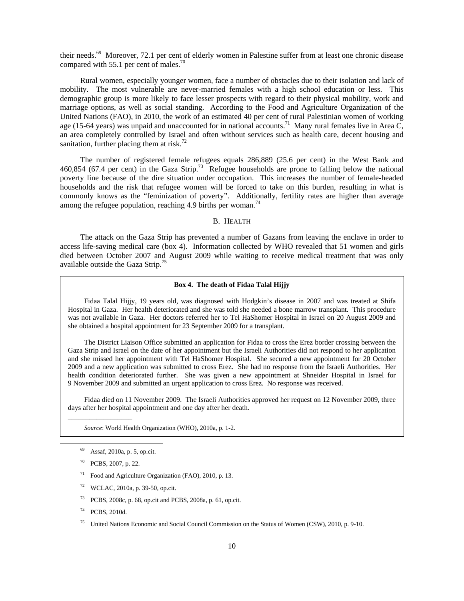their needs.<sup>69</sup> Moreover, 72.1 per cent of elderly women in Palestine suffer from at least one chronic disease compared with 55.1 per cent of males. $7$ 

 Rural women, especially younger women, face a number of obstacles due to their isolation and lack of mobility. The most vulnerable are never-married females with a high school education or less. This demographic group is more likely to face lesser prospects with regard to their physical mobility, work and marriage options, as well as social standing. According to the Food and Agriculture Organization of the United Nations (FAO), in 2010, the work of an estimated 40 per cent of rural Palestinian women of working age (15-64 years) was unpaid and unaccounted for in national accounts.<sup>71</sup> Many rural females live in Area C, an area completely controlled by Israel and often without services such as health care, decent housing and sanitation, further placing them at risk.<sup>72</sup>

 The number of registered female refugees equals 286,889 (25.6 per cent) in the West Bank and 460,854 (67.4 per cent) in the Gaza Strip.73 Refugee households are prone to falling below the national poverty line because of the dire situation under occupation. This increases the number of female-headed households and the risk that refugee women will be forced to take on this burden, resulting in what is commonly knows as the "feminization of poverty". Additionally, fertility rates are higher than average among the refugee population, reaching 4.9 births per woman.<sup>74</sup>

## B. HEALTH

 The attack on the Gaza Strip has prevented a number of Gazans from leaving the enclave in order to access life-saving medical care (box 4). Information collected by WHO revealed that 51 women and girls died between October 2007 and August 2009 while waiting to receive medical treatment that was only available outside the Gaza Strip.<sup>75</sup>

#### **Box 4. The death of Fidaa Talal Hijjy**

 Fidaa Talal Hijjy, 19 years old, was diagnosed with Hodgkin's disease in 2007 and was treated at Shifa Hospital in Gaza. Her health deteriorated and she was told she needed a bone marrow transplant. This procedure was not available in Gaza. Her doctors referred her to Tel HaShomer Hospital in Israel on 20 August 2009 and she obtained a hospital appointment for 23 September 2009 for a transplant.

 The District Liaison Office submitted an application for Fidaa to cross the Erez border crossing between the Gaza Strip and Israel on the date of her appointment but the Israeli Authorities did not respond to her application and she missed her appointment with Tel HaShomer Hospital. She secured a new appointment for 20 October 2009 and a new application was submitted to cross Erez. She had no response from the Israeli Authorities. Her health condition deteriorated further. She was given a new appointment at Shneider Hospital in Israel for 9 November 2009 and submitted an urgent application to cross Erez. No response was received.

 Fidaa died on 11 November 2009. The Israeli Authorities approved her request on 12 November 2009, three days after her hospital appointment and one day after her death.

 *Source*: World Health Organization (WHO), 2010a, p. 1-2.

\_\_\_\_\_\_\_\_\_\_\_\_\_\_\_\_\_\_

- 71 Food and Agriculture Organization (FAO), 2010, p. 13.
- WCLAC, 2010a, p. 39-50, op.cit.
- 73 PCBS, 2008c, p. 68, op.cit and PCBS, 2008a, p. 61, op.cit.
- 74 PCBS, 2010d.
- 75 United Nations Economic and Social Council Commission on the Status of Women (CSW), 2010, p. 9-10.

Assaf, 2010a, p. 5, op.cit.

<sup>70</sup> PCBS, 2007, p. 22.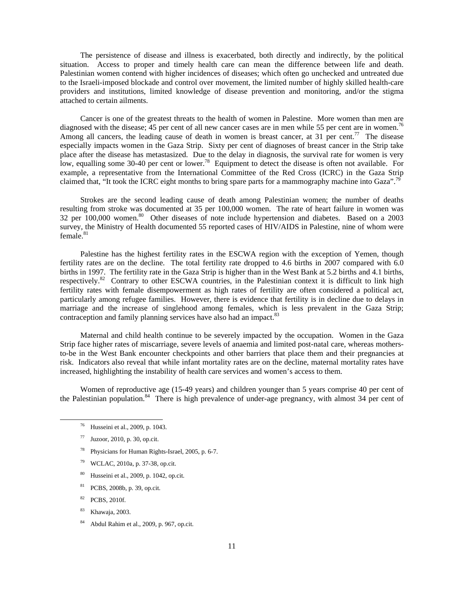The persistence of disease and illness is exacerbated, both directly and indirectly, by the political situation. Access to proper and timely health care can mean the difference between life and death. Palestinian women contend with higher incidences of diseases; which often go unchecked and untreated due to the Israeli-imposed blockade and control over movement, the limited number of highly skilled health-care providers and institutions, limited knowledge of disease prevention and monitoring, and/or the stigma attached to certain ailments.

 Cancer is one of the greatest threats to the health of women in Palestine. More women than men are diagnosed with the disease; 45 per cent of all new cancer cases are in men while 55 per cent are in women.<sup>76</sup> Among all cancers, the leading cause of death in women is breast cancer, at 31 per cent.<sup>77</sup> The disease especially impacts women in the Gaza Strip. Sixty per cent of diagnoses of breast cancer in the Strip take place after the disease has metastasized. Due to the delay in diagnosis, the survival rate for women is very low, equalling some 30-40 per cent or lower.<sup>78</sup> Equipment to detect the disease is often not available. For example, a representative from the International Committee of the Red Cross (ICRC) in the Gaza Strip claimed that, "It took the ICRC eight months to bring spare parts for a mammography machine into Gaza".<sup>79</sup>

 Strokes are the second leading cause of death among Palestinian women; the number of deaths resulting from stroke was documented at 35 per 100,000 women. The rate of heart failure in women was  $32$  per  $100,000$  women.<sup>80</sup> Other diseases of note include hypertension and diabetes. Based on a 2003 survey, the Ministry of Health documented 55 reported cases of HIV/AIDS in Palestine, nine of whom were  $f$ emale. $81$ 

 Palestine has the highest fertility rates in the ESCWA region with the exception of Yemen, though fertility rates are on the decline. The total fertility rate dropped to 4.6 births in 2007 compared with 6.0 births in 1997. The fertility rate in the Gaza Strip is higher than in the West Bank at 5.2 births and 4.1 births, respectively.<sup>82</sup> Contrary to other ESCWA countries, in the Palestinian context it is difficult to link high fertility rates with female disempowerment as high rates of fertility are often considered a political act, particularly among refugee families. However, there is evidence that fertility is in decline due to delays in marriage and the increase of singlehood among females, which is less prevalent in the Gaza Strip; contraception and family planning services have also had an impact.<sup>83</sup>

 Maternal and child health continue to be severely impacted by the occupation. Women in the Gaza Strip face higher rates of miscarriage, severe levels of anaemia and limited post-natal care, whereas mothersto-be in the West Bank encounter checkpoints and other barriers that place them and their pregnancies at risk. Indicators also reveal that while infant mortality rates are on the decline, maternal mortality rates have increased, highlighting the instability of health care services and women's access to them.

 Women of reproductive age (15-49 years) and children younger than 5 years comprise 40 per cent of the Palestinian population.<sup>84</sup> There is high prevalence of under-age pregnancy, with almost 34 per cent of

- 78 Physicians for Human Rights-Israel, 2005, p. 6-7.
- 79 WCLAC, 2010a, p. 37-38, op.cit.
- 80 Husseini et al., 2009, p. 1042, op.cit.
- 81 PCBS, 2008b, p. 39, op.cit.
- 82 PCBS, 2010f.
- 83 Khawaja, 2003.
- 84 Abdul Rahim et al., 2009, p. 967, op.cit.

 <sup>76</sup> Husseini et al., 2009, p. 1043.

 $77$  Juzoor, 2010, p. 30, op.cit.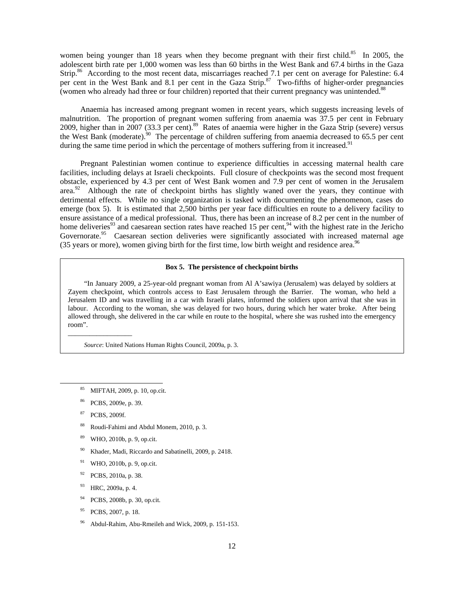women being younger than 18 years when they become pregnant with their first child.<sup>85</sup> In 2005, the adolescent birth rate per 1,000 women was less than 60 births in the West Bank and 67.4 births in the Gaza Strip.<sup>86</sup> According to the most recent data, miscarriages reached 7.1 per cent on average for Palestine: 6.4 per cent in the West Bank and 8.1 per cent in the Gaza Strip.<sup>87</sup> Two-fifths of higher-order pregnancies (women who already had three or four children) reported that their current pregnancy was unintended.<sup>88</sup>

 Anaemia has increased among pregnant women in recent years, which suggests increasing levels of malnutrition. The proportion of pregnant women suffering from anaemia was 37.5 per cent in February 2009, higher than in 2007 (33.3 per cent).<sup>89</sup> Rates of anaemia were higher in the Gaza Strip (severe) versus the West Bank (moderate).<sup>90</sup> The percentage of children suffering from anaemia decreased to 65.5 per cent during the same time period in which the percentage of mothers suffering from it increased.<sup>91</sup>

 Pregnant Palestinian women continue to experience difficulties in accessing maternal health care facilities, including delays at Israeli checkpoints. Full closure of checkpoints was the second most frequent obstacle, experienced by 4.3 per cent of West Bank women and 7.9 per cent of women in the Jerusalem area.<sup>92</sup> Although the rate of checkpoint births has slightly waned over the years, they continue with detrimental effects. While no single organization is tasked with documenting the phenomenon, cases do emerge (box 5). It is estimated that 2,500 births per year face difficulties en route to a delivery facility to ensure assistance of a medical professional. Thus, there has been an increase of 8.2 per cent in the number of home deliveries<sup>93</sup> and caesarean section rates have reached 15 per cent,<sup>94</sup> with the highest rate in the Jericho Governorate.<sup>95</sup> Caesarean section deliveries were significantly associated with increased maternal age (35 years or more), women giving birth for the first time, low birth weight and residence area.<sup>96</sup>

## **Box 5. The persistence of checkpoint births**

 "In January 2009, a 25-year-old pregnant woman from Al A'sawiya (Jerusalem) was delayed by soldiers at Zayem checkpoint, which controls access to East Jerusalem through the Barrier. The woman, who held a Jerusalem ID and was travelling in a car with Israeli plates, informed the soldiers upon arrival that she was in labour. According to the woman, she was delayed for two hours, during which her water broke. After being allowed through, she delivered in the car while en route to the hospital, where she was rushed into the emergency room".

 *Source*: United Nations Human Rights Council, 2009a, p. 3.

\_\_\_\_\_\_\_\_\_\_\_\_\_\_\_\_\_\_

- 88 Roudi-Fahimi and Abdul Monem, 2010, p. 3.
- 89 WHO, 2010b, p. 9, op.cit.
- 90 Khader, Madi, Riccardo and Sabatinelli, 2009, p. 2418.
- 91 WHO, 2010b, p. 9, op.cit.
- 92 PCBS, 2010a, p. 38.
- 93 HRC, 2009a, p. 4.
- 94 PCBS, 2008b, p. 30, op.cit.
- PCBS, 2007, p. 18.
- 96 Abdul-Rahim, Abu-Rmeileh and Wick, 2009, p. 151-153.

MIFTAH, 2009, p. 10, op.cit.

<sup>86</sup> PCBS, 2009e, p. 39.

<sup>87</sup> PCBS, 2009f.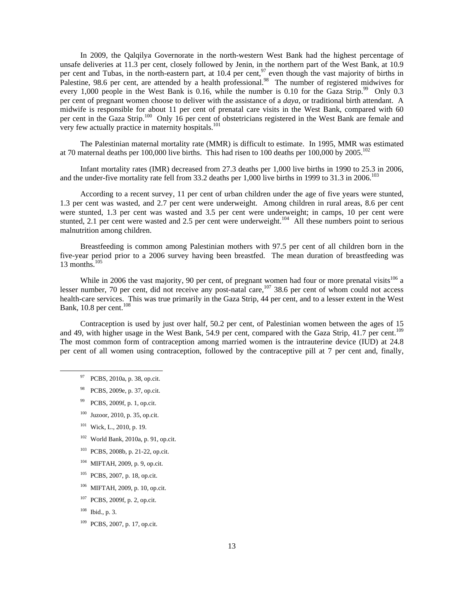In 2009, the Qalqilya Governorate in the north-western West Bank had the highest percentage of unsafe deliveries at 11.3 per cent, closely followed by Jenin, in the northern part of the West Bank, at 10.9 per cent and Tubas, in the north-eastern part, at  $10.4$  per cent,<sup>97</sup> even though the vast majority of births in Palestine, 98.6 per cent, are attended by a health professional.<sup>98</sup> The number of registered midwives for every 1,000 people in the West Bank is 0.16, while the number is 0.10 for the Gaza Strip.<sup>99</sup> Only 0.3 per cent of pregnant women choose to deliver with the assistance of a *daya,* or traditional birth attendant. A midwife is responsible for about 11 per cent of prenatal care visits in the West Bank, compared with 60 per cent in the Gaza Strip.<sup>100</sup> Only 16 per cent of obstetricians registered in the West Bank are female and very few actually practice in maternity hospitals.<sup>101</sup>

 The Palestinian maternal mortality rate (MMR) is difficult to estimate. In 1995, MMR was estimated at 70 maternal deaths per 100,000 live births. This had risen to 100 deaths per 100,000 by 2005.<sup>102</sup>

 Infant mortality rates (IMR) decreased from 27.3 deaths per 1,000 live births in 1990 to 25.3 in 2006, and the under-five mortality rate fell from 33.2 deaths per 1,000 live births in 1999 to 31.3 in 2006.<sup>103</sup>

 According to a recent survey, 11 per cent of urban children under the age of five years were stunted, 1.3 per cent was wasted, and 2.7 per cent were underweight. Among children in rural areas, 8.6 per cent were stunted, 1.3 per cent was wasted and 3.5 per cent were underweight; in camps, 10 per cent were stunted, 2.1 per cent were wasted and 2.5 per cent were underweight.<sup>104</sup> All these numbers point to serious malnutrition among children.

 Breastfeeding is common among Palestinian mothers with 97.5 per cent of all children born in the five-year period prior to a 2006 survey having been breastfed. The mean duration of breastfeeding was 13 months. $105$ 

While in 2006 the vast majority, 90 per cent, of pregnant women had four or more prenatal visits<sup>106</sup> a lesser number, 70 per cent, did not receive any post-natal care, $107$  38.6 per cent of whom could not access health-care services. This was true primarily in the Gaza Strip, 44 per cent, and to a lesser extent in the West Bank,  $10.8$  per cent.<sup>108</sup>

 Contraception is used by just over half, 50.2 per cent, of Palestinian women between the ages of 15 and 49, with higher usage in the West Bank, 54.9 per cent, compared with the Gaza Strip, 41.7 per cent.<sup>109</sup> The most common form of contraception among married women is the intrauterine device (IUD) at 24.8 per cent of all women using contraception, followed by the contraceptive pill at 7 per cent and, finally,

- 97 PCBS, 2010a, p. 38, op.cit.
- 98 PCBS, 2009e, p. 37, op.cit.
- 99 PCBS, 2009f, p. 1, op.cit.
- 100 Juzoor, 2010, p. 35, op.cit.
- $101$  Wick, L., 2010, p. 19.
- $102$  World Bank, 2010a, p. 91, op.cit.
- 103 PCBS, 2008b, p. 21-22, op.cit.
- 104 MIFTAH, 2009, p. 9, op.cit.
- 105 PCBS, 2007, p. 18, op.cit.
- 106 MIFTAH, 2009, p. 10, op.cit.
- 107 PCBS, 2009f, p. 2, op.cit.
- $108$  Ibid., p. 3.
- 109 PCBS, 2007, p. 17, op.cit.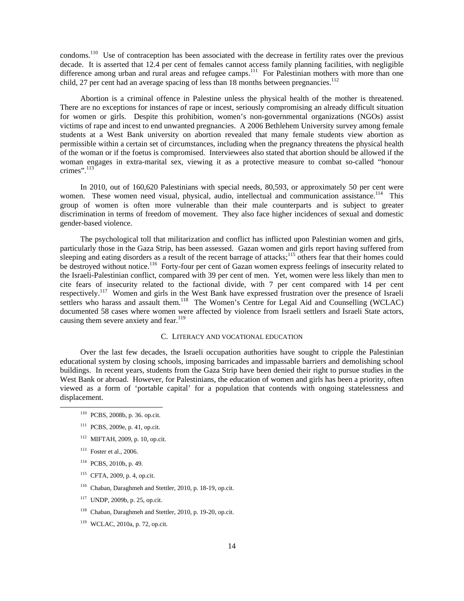condoms.<sup>110</sup> Use of contraception has been associated with the decrease in fertility rates over the previous decade. It is asserted that 12.4 per cent of females cannot access family planning facilities, with negligible difference among urban and rural areas and refugee camps.<sup>111</sup> For Palestinian mothers with more than one child, 27 per cent had an average spacing of less than 18 months between pregnancies.<sup>112</sup>

 Abortion is a criminal offence in Palestine unless the physical health of the mother is threatened. There are no exceptions for instances of rape or incest, seriously compromising an already difficult situation for women or girls. Despite this prohibition, women's non-governmental organizations (NGOs) assist victims of rape and incest to end unwanted pregnancies. A 2006 Bethlehem University survey among female students at a West Bank university on abortion revealed that many female students view abortion as permissible within a certain set of circumstances, including when the pregnancy threatens the physical health of the woman or if the foetus is compromised. Interviewees also stated that abortion should be allowed if the woman engages in extra-marital sex, viewing it as a protective measure to combat so-called "honour crimes".<sup>113</sup>

 In 2010, out of 160,620 Palestinians with special needs, 80,593, or approximately 50 per cent were women. These women need visual, physical, audio, intellectual and communication assistance.<sup>114</sup> This group of women is often more vulnerable than their male counterparts and is subject to greater discrimination in terms of freedom of movement. They also face higher incidences of sexual and domestic gender-based violence.

 The psychological toll that militarization and conflict has inflicted upon Palestinian women and girls, particularly those in the Gaza Strip, has been assessed. Gazan women and girls report having suffered from sleeping and eating disorders as a result of the recent barrage of attacks;<sup>115</sup> others fear that their homes could be destroyed without notice.<sup>116</sup> Forty-four per cent of Gazan women express feelings of insecurity related to the Israeli-Palestinian conflict, compared with 39 per cent of men. Yet, women were less likely than men to cite fears of insecurity related to the factional divide, with 7 per cent compared with 14 per cent respectively.<sup>117</sup> Women and girls in the West Bank have expressed frustration over the presence of Israeli settlers who harass and assault them.<sup>118</sup> The Women's Centre for Legal Aid and Counselling (WCLAC) documented 58 cases where women were affected by violence from Israeli settlers and Israeli State actors, causing them severe anxiety and fear.<sup>119</sup>

## C. LITERACY AND VOCATIONAL EDUCATION

 Over the last few decades, the Israeli occupation authorities have sought to cripple the Palestinian educational system by closing schools, imposing barricades and impassable barriers and demolishing school buildings. In recent years, students from the Gaza Strip have been denied their right to pursue studies in the West Bank or abroad. However, for Palestinians, the education of women and girls has been a priority, often viewed as a form of 'portable capital' for a population that contends with ongoing statelessness and displacement.

- 110 PCBS, 2008b, p. 36. op.cit.
- 111 PCBS, 2009e, p. 41, op.cit.
- 112 MIFTAH, 2009, p. 10, op.cit.
- 113 Foster et al., 2006.
- 114 PCBS, 2010b, p. 49.
- 115 CFTA, 2009, p. 4, op.cit.
- 116 Chaban, Daraghmeh and Stettler, 2010, p. 18-19, op.cit.
- 117 UNDP, 2009b, p. 25, op.cit.
- 118 Chaban, Daraghmeh and Stettler, 2010, p. 19-20, op.cit.
- 119 WCLAC, 2010a, p. 72, op.cit.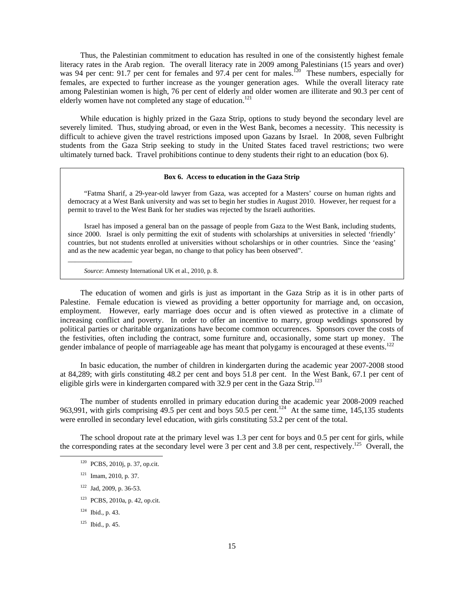Thus, the Palestinian commitment to education has resulted in one of the consistently highest female literacy rates in the Arab region. The overall literacy rate in 2009 among Palestinians (15 years and over) was 94 per cent: 91.7 per cent for females and 97.4 per cent for males.<sup>120</sup> These numbers, especially for females, are expected to further increase as the younger generation ages. While the overall literacy rate among Palestinian women is high, 76 per cent of elderly and older women are illiterate and 90.3 per cent of elderly women have not completed any stage of education.<sup>121</sup>

 While education is highly prized in the Gaza Strip, options to study beyond the secondary level are severely limited. Thus, studying abroad, or even in the West Bank, becomes a necessity. This necessity is difficult to achieve given the travel restrictions imposed upon Gazans by Israel. In 2008, seven Fulbright students from the Gaza Strip seeking to study in the United States faced travel restrictions; two were ultimately turned back. Travel prohibitions continue to deny students their right to an education (box 6).

#### **Box 6. Access to education in the Gaza Strip**

 "Fatma Sharif, a 29-year-old lawyer from Gaza, was accepted for a Masters' course on human rights and democracy at a West Bank university and was set to begin her studies in August 2010. However, her request for a permit to travel to the West Bank for her studies was rejected by the Israeli authorities.

 Israel has imposed a general ban on the passage of people from Gaza to the West Bank, including students, since 2000. Israel is only permitting the exit of students with scholarships at universities in selected 'friendly' countries, but not students enrolled at universities without scholarships or in other countries. Since the 'easing' and as the new academic year began, no change to that policy has been observed".

 *Source*: Amnesty International UK et al., 2010, p. 8.

 The education of women and girls is just as important in the Gaza Strip as it is in other parts of Palestine. Female education is viewed as providing a better opportunity for marriage and, on occasion, employment. However, early marriage does occur and is often viewed as protective in a climate of increasing conflict and poverty. In order to offer an incentive to marry, group weddings sponsored by political parties or charitable organizations have become common occurrences. Sponsors cover the costs of the festivities, often including the contract, some furniture and, occasionally, some start up money. The gender imbalance of people of marriageable age has meant that polygamy is encouraged at these events.<sup>122</sup>

 In basic education, the number of children in kindergarten during the academic year 2007-2008 stood at 84,289; with girls constituting 48.2 per cent and boys 51.8 per cent. In the West Bank, 67.1 per cent of eligible girls were in kindergarten compared with 32.9 per cent in the Gaza Strip.<sup>123</sup>

 The number of students enrolled in primary education during the academic year 2008-2009 reached 963,991, with girls comprising 49.5 per cent and boys 50.5 per cent.<sup>124</sup> At the same time, 145,135 students were enrolled in secondary level education, with girls constituting 53.2 per cent of the total.

 The school dropout rate at the primary level was 1.3 per cent for boys and 0.5 per cent for girls, while the corresponding rates at the secondary level were 3 per cent and 3.8 per cent, respectively.<sup>125</sup> Overall, the

\_\_\_\_\_\_\_\_\_\_\_\_\_\_\_\_\_\_

122 Jad, 2009, p. 36-53.

 <sup>120</sup> PCBS, 2010j, p. 37, op.cit.

 $121$  Imam, 2010, p. 37.

<sup>123</sup> PCBS, 2010a, p. 42, op.cit.

 $124$  Ibid., p. 43.

 $125$  Ibid., p. 45.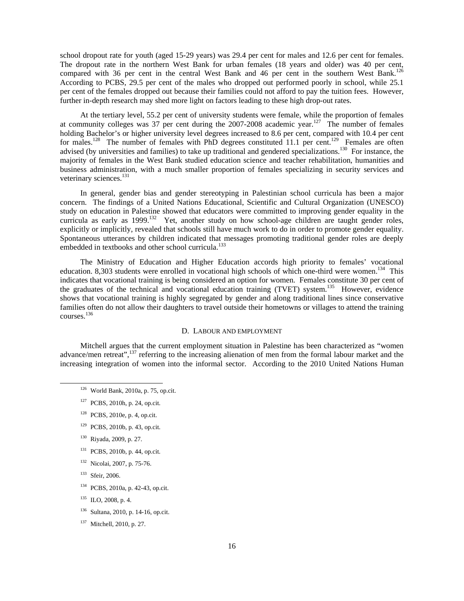school dropout rate for youth (aged 15-29 years) was 29.4 per cent for males and 12.6 per cent for females. The dropout rate in the northern West Bank for urban females (18 years and older) was 40 per cent, compared with 36 per cent in the central West Bank and 46 per cent in the southern West Bank.<sup>126</sup> According to PCBS, 29.5 per cent of the males who dropped out performed poorly in school, while 25.1 per cent of the females dropped out because their families could not afford to pay the tuition fees. However, further in-depth research may shed more light on factors leading to these high drop-out rates.

 At the tertiary level, 55.2 per cent of university students were female, while the proportion of females at community colleges was 37 per cent during the  $2007-2008$  academic year.<sup>127</sup> The number of females holding Bachelor's or higher university level degrees increased to 8.6 per cent, compared with 10.4 per cent for males.<sup>128</sup> The number of females with PhD degrees constituted 11.1 per cent.<sup>129</sup> Females are often advised (by universities and families) to take up traditional and gendered specializations.<sup>130</sup> For instance, the majority of females in the West Bank studied education science and teacher rehabilitation, humanities and business administration, with a much smaller proportion of females specializing in security services and veterinary sciences.<sup>131</sup>

 In general, gender bias and gender stereotyping in Palestinian school curricula has been a major concern. The findings of a United Nations Educational, Scientific and Cultural Organization (UNESCO) study on education in Palestine showed that educators were committed to improving gender equality in the curricula as early as 1999.<sup>132</sup> Yet, another study on how school-age children are taught gender roles, explicitly or implicitly, revealed that schools still have much work to do in order to promote gender equality. Spontaneous utterances by children indicated that messages promoting traditional gender roles are deeply embedded in textbooks and other school curricula.<sup>133</sup>

 The Ministry of Education and Higher Education accords high priority to females' vocational education. 8,303 students were enrolled in vocational high schools of which one-third were women.<sup>134</sup> This indicates that vocational training is being considered an option for women. Females constitute 30 per cent of the graduates of the technical and vocational education training (TVET) system.<sup>135</sup> However, evidence shows that vocational training is highly segregated by gender and along traditional lines since conservative families often do not allow their daughters to travel outside their hometowns or villages to attend the training courses.<sup>136</sup>

## D. LABOUR AND EMPLOYMENT

 Mitchell argues that the current employment situation in Palestine has been characterized as "women advance/men retreat",<sup>137</sup> referring to the increasing alienation of men from the formal labour market and the increasing integration of women into the informal sector. According to the 2010 United Nations Human

- 130 Riyada, 2009, p. 27.
- 131 PCBS, 2010b, p. 44, op.cit.
- 132 Nicolai, 2007, p. 75-76.
- 133 Sfeir, 2006.
- 134 PCBS, 2010a, p. 42-43, op.cit.
- 135 ILO, 2008, p. 4.
- 136 Sultana, 2010, p. 14-16, op.cit.
- 137 Mitchell, 2010, p. 27.

 <sup>126</sup> World Bank, 2010a, p. 75, op.cit.

<sup>127</sup> PCBS, 2010h, p. 24, op.cit.

<sup>128</sup> PCBS, 2010e, p. 4, op.cit.

<sup>129</sup> PCBS, 2010b, p. 43, op.cit.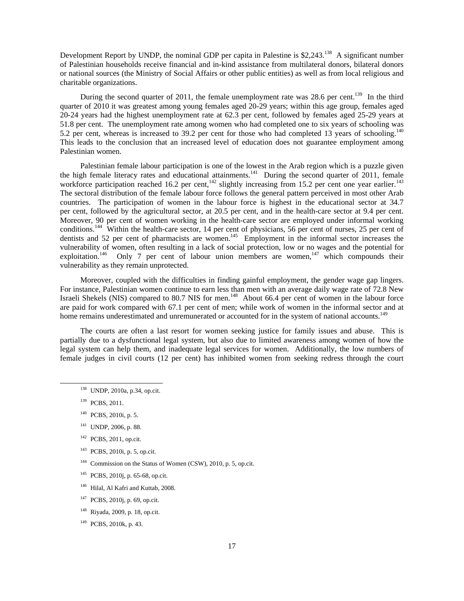Development Report by UNDP, the nominal GDP per capita in Palestine is \$2,243.<sup>138</sup> A significant number of Palestinian households receive financial and in-kind assistance from multilateral donors, bilateral donors or national sources (the Ministry of Social Affairs or other public entities) as well as from local religious and charitable organizations.

During the second quarter of 2011, the female unemployment rate was 28.6 per cent.<sup>139</sup> In the third quarter of 2010 it was greatest among young females aged 20-29 years; within this age group, females aged 20-24 years had the highest unemployment rate at 62.3 per cent, followed by females aged 25-29 years at 51.8 per cent. The unemployment rate among women who had completed one to six years of schooling was 5.2 per cent, whereas is increased to 39.2 per cent for those who had completed 13 years of schooling.<sup>140</sup> This leads to the conclusion that an increased level of education does not guarantee employment among Palestinian women.

 Palestinian female labour participation is one of the lowest in the Arab region which is a puzzle given the high female literacy rates and educational attainments.<sup>141</sup> During the second quarter of 2011, female workforce participation reached 16.2 per cent,<sup>142</sup> slightly increasing from 15.2 per cent one year earlier.<sup>143</sup> The sectoral distribution of the female labour force follows the general pattern perceived in most other Arab countries. The participation of women in the labour force is highest in the educational sector at 34.7 per cent, followed by the agricultural sector, at 20.5 per cent, and in the health-care sector at 9.4 per cent. Moreover, 90 per cent of women working in the health-care sector are employed under informal working conditions.<sup>144</sup> Within the health-care sector, 14 per cent of physicians, 56 per cent of nurses, 25 per cent of dentists and 52 per cent of pharmacists are women.<sup>145</sup> Employment in the informal sector increases the vulnerability of women, often resulting in a lack of social protection, low or no wages and the potential for exploitation.<sup>146</sup> Only 7 per cent of labour union members are women,<sup>147</sup> which compounds their vulnerability as they remain unprotected.

 Moreover, coupled with the difficulties in finding gainful employment, the gender wage gap lingers. For instance, Palestinian women continue to earn less than men with an average daily wage rate of 72.8 New Israeli Shekels (NIS) compared to 80.7 NIS for men.<sup>148</sup> About 66.4 per cent of women in the labour force are paid for work compared with 67.1 per cent of men; while work of women in the informal sector and at home remains underestimated and unremunerated or accounted for in the system of national accounts.<sup>149</sup>

 The courts are often a last resort for women seeking justice for family issues and abuse. This is partially due to a dysfunctional legal system, but also due to limited awareness among women of how the legal system can help them, and inadequate legal services for women. Additionally, the low numbers of female judges in civil courts (12 per cent) has inhibited women from seeking redress through the court

- 141 UNDP, 2006, p. 88.
- <sup>142</sup> PCBS, 2011, op.cit.
- 143 PCBS, 2010i, p. 5, op.cit.
- <sup>144</sup> Commission on the Status of Women (CSW), 2010, p. 5, op.cit.
- 145 PCBS, 2010j, p. 65-68, op.cit.
- <sup>146</sup> Hilal, Al Kafri and Kuttab, 2008.
- 147 PCBS, 2010j, p. 69, op.cit.
- 148 Riyada, 2009, p. 18, op.cit.
- 149 PCBS, 2010k, p. 43.

 <sup>138</sup> UNDP, 2010a, p.34, op.cit.

<sup>&</sup>lt;sup>139</sup> PCBS, 2011.

<sup>140</sup> PCBS, 2010i, p. 5.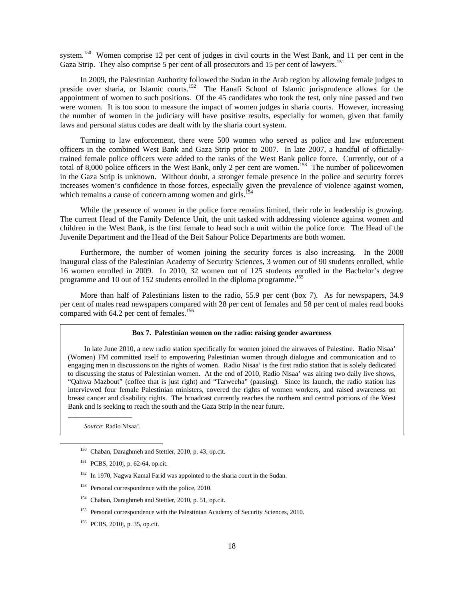system.<sup>150</sup> Women comprise 12 per cent of judges in civil courts in the West Bank, and 11 per cent in the Gaza Strip. They also comprise 5 per cent of all prosecutors and 15 per cent of lawyers.<sup>151</sup>

 In 2009, the Palestinian Authority followed the Sudan in the Arab region by allowing female judges to preside over sharia, or Islamic courts.<sup>152</sup> The Hanafi School of Islamic jurisprudence allows for the appointment of women to such positions. Of the 45 candidates who took the test, only nine passed and two were women. It is too soon to measure the impact of women judges in sharia courts. However, increasing the number of women in the judiciary will have positive results, especially for women, given that family laws and personal status codes are dealt with by the sharia court system.

 Turning to law enforcement, there were 500 women who served as police and law enforcement officers in the combined West Bank and Gaza Strip prior to 2007. In late 2007, a handful of officiallytrained female police officers were added to the ranks of the West Bank police force. Currently, out of a total of 8,000 police officers in the West Bank, only 2 per cent are women.<sup>153</sup> The number of policewomen in the Gaza Strip is unknown. Without doubt, a stronger female presence in the police and security forces increases women's confidence in those forces, especially given the prevalence of violence against women, which remains a cause of concern among women and girls.<sup>1</sup>

While the presence of women in the police force remains limited, their role in leadership is growing. The current Head of the Family Defence Unit, the unit tasked with addressing violence against women and children in the West Bank, is the first female to head such a unit within the police force. The Head of the Juvenile Department and the Head of the Beit Sahour Police Departments are both women.

 Furthermore, the number of women joining the security forces is also increasing. In the 2008 inaugural class of the Palestinian Academy of Security Sciences, 3 women out of 90 students enrolled, while 16 women enrolled in 2009. In 2010, 32 women out of 125 students enrolled in the Bachelor's degree programme and 10 out of 152 students enrolled in the diploma programme.<sup>155</sup>

 More than half of Palestinians listen to the radio, 55.9 per cent (box 7). As for newspapers, 34.9 per cent of males read newspapers compared with 28 per cent of females and 58 per cent of males read books compared with 64.2 per cent of females.<sup>156</sup>

#### **Box 7. Palestinian women on the radio: raising gender awareness**

 In late June 2010, a new radio station specifically for women joined the airwaves of Palestine. Radio Nisaa' (Women) FM committed itself to empowering Palestinian women through dialogue and communication and to engaging men in discussions on the rights of women. Radio Nisaa' is the first radio station that is solely dedicated to discussing the status of Palestinian women. At the end of 2010, Radio Nisaa' was airing two daily live shows, "Qahwa Mazbout" (coffee that is just right) and "Tarweeha" (pausing). Since its launch, the radio station has interviewed four female Palestinian ministers, covered the rights of women workers, and raised awareness on breast cancer and disability rights. The broadcast currently reaches the northern and central portions of the West Bank and is seeking to reach the south and the Gaza Strip in the near future.

 *Source*: Radio Nisaa'.

\_\_\_\_\_\_\_\_\_\_\_\_\_\_\_\_\_\_

- <sup>155</sup> Personal correspondence with the Palestinian Academy of Security Sciences, 2010.
- 156 PCBS, 2010j, p. 35, op.cit.

 <sup>150</sup> Chaban, Daraghmeh and Stettler, 2010, p. 43, op.cit.

<sup>151</sup> PCBS, 2010j, p. 62-64, op.cit.

<sup>&</sup>lt;sup>152</sup> In 1970, Nagwa Kamal Farid was appointed to the sharia court in the Sudan.

<sup>&</sup>lt;sup>153</sup> Personal correspondence with the police, 2010.

<sup>154</sup> Chaban, Daraghmeh and Stettler, 2010, p. 51, op.cit.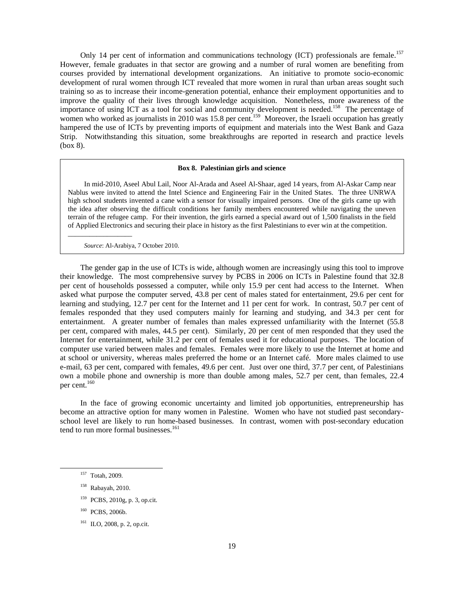Only 14 per cent of information and communications technology (ICT) professionals are female.<sup>157</sup> However, female graduates in that sector are growing and a number of rural women are benefiting from courses provided by international development organizations. An initiative to promote socio-economic development of rural women through ICT revealed that more women in rural than urban areas sought such training so as to increase their income-generation potential, enhance their employment opportunities and to improve the quality of their lives through knowledge acquisition. Nonetheless, more awareness of the importance of using ICT as a tool for social and community development is needed.<sup>158</sup> The percentage of women who worked as journalists in 2010 was 15.8 per cent.<sup>159</sup> Moreover, the Israeli occupation has greatly hampered the use of ICTs by preventing imports of equipment and materials into the West Bank and Gaza Strip. Notwithstanding this situation, some breakthroughs are reported in research and practice levels (box 8).

#### **Box 8. Palestinian girls and science**

 In mid-2010, Aseel Abul Lail, Noor Al-Arada and Aseel Al-Shaar, aged 14 years, from Al-Askar Camp near Nablus were invited to attend the Intel Science and Engineering Fair in the United States. The three UNRWA high school students invented a cane with a sensor for visually impaired persons. One of the girls came up with the idea after observing the difficult conditions her family members encountered while navigating the uneven terrain of the refugee camp. For their invention, the girls earned a special award out of 1,500 finalists in the field of Applied Electronics and securing their place in history as the first Palestinians to ever win at the competition.

 *Source*: Al-Arabiya, 7 October 2010.

\_\_\_\_\_\_\_\_\_\_\_\_\_\_\_\_\_\_

 The gender gap in the use of ICTs is wide, although women are increasingly using this tool to improve their knowledge. The most comprehensive survey by PCBS in 2006 on ICTs in Palestine found that 32.8 per cent of households possessed a computer, while only 15.9 per cent had access to the Internet. When asked what purpose the computer served, 43.8 per cent of males stated for entertainment, 29.6 per cent for learning and studying, 12.7 per cent for the Internet and 11 per cent for work. In contrast, 50.7 per cent of females responded that they used computers mainly for learning and studying, and 34.3 per cent for entertainment. A greater number of females than males expressed unfamiliarity with the Internet (55.8 per cent, compared with males, 44.5 per cent). Similarly, 20 per cent of men responded that they used the Internet for entertainment, while 31.2 per cent of females used it for educational purposes. The location of computer use varied between males and females. Females were more likely to use the Internet at home and at school or university, whereas males preferred the home or an Internet café. More males claimed to use e-mail, 63 per cent, compared with females, 49.6 per cent. Just over one third, 37.7 per cent, of Palestinians own a mobile phone and ownership is more than double among males, 52.7 per cent, than females, 22.4 per cent.<sup>160</sup>

 In the face of growing economic uncertainty and limited job opportunities, entrepreneurship has become an attractive option for many women in Palestine. Women who have not studied past secondaryschool level are likely to run home-based businesses. In contrast, women with post-secondary education tend to run more formal businesses.<sup>161</sup>

160 PCBS, 2006b.

 <sup>157</sup> Totah, 2009.

<sup>158</sup> Rabayah, 2010.

<sup>159</sup> PCBS, 2010g, p. 3, op.cit.

<sup>161</sup> ILO, 2008, p. 2, op.cit.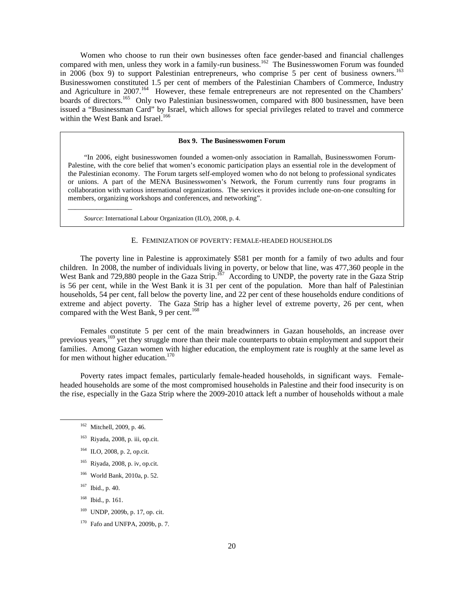Women who choose to run their own businesses often face gender-based and financial challenges compared with men, unless they work in a family-run business.<sup>162</sup> The Businesswomen Forum was founded in 2006 (box 9) to support Palestinian entrepreneurs, who comprise 5 per cent of business owners.<sup>163</sup> Businesswomen constituted 1.5 per cent of members of the Palestinian Chambers of Commerce, Industry and Agriculture in 2007.<sup>164</sup> However, these female entrepreneurs are not represented on the Chambers' boards of directors.<sup>165</sup> Only two Palestinian businesswomen, compared with 800 businessmen, have been issued a "Businessman Card" by Israel, which allows for special privileges related to travel and commerce within the West Bank and Israel.<sup>166</sup>

#### **Box 9. The Businesswomen Forum**

 "In 2006, eight businesswomen founded a women-only association in Ramallah, Businesswomen Forum-Palestine, with the core belief that women's economic participation plays an essential role in the development of the Palestinian economy. The Forum targets self-employed women who do not belong to professional syndicates or unions. A part of the MENA Businesswomen's Network, the Forum currently runs four programs in collaboration with various international organizations. The services it provides include one-on-one consulting for members, organizing workshops and conferences, and networking".

 *Source*: International Labour Organization (ILO), 2008, p. 4.

## E. FEMINIZATION OF POVERTY: FEMALE-HEADED HOUSEHOLDS

 The poverty line in Palestine is approximately \$581 per month for a family of two adults and four children. In 2008, the number of individuals living in poverty, or below that line, was 477,360 people in the West Bank and 729,880 people in the Gaza Strip.<sup>167</sup> According to UNDP, the poverty rate in the Gaza Strip is 56 per cent, while in the West Bank it is 31 per cent of the population. More than half of Palestinian households, 54 per cent, fall below the poverty line, and 22 per cent of these households endure conditions of extreme and abject poverty. The Gaza Strip has a higher level of extreme poverty, 26 per cent, when compared with the West Bank, 9 per cent.<sup>168</sup>

 Females constitute 5 per cent of the main breadwinners in Gazan households, an increase over previous years,<sup>169</sup> yet they struggle more than their male counterparts to obtain employment and support their families. Among Gazan women with higher education, the employment rate is roughly at the same level as for men without higher education. $170$ 

 Poverty rates impact females, particularly female-headed households, in significant ways. Femaleheaded households are some of the most compromised households in Palestine and their food insecurity is on the rise, especially in the Gaza Strip where the 2009-2010 attack left a number of households without a male

\_\_\_\_\_\_\_\_\_\_\_\_\_\_\_\_\_\_

- 164 ILO, 2008, p. 2, op.cit.
- 165 Riyada, 2008, p. iv, op.cit.
- 166 World Bank, 2010a, p. 52.
- 167 Ibid., p. 40.
- 168 Ibid., p. 161.

169 UNDP, 2009b, p. 17, op. cit.

<sup>&</sup>lt;sup>162</sup> Mitchell, 2009, p. 46.

 $163$  Riyada, 2008, p. iii, op.cit.

<sup>170</sup> Fafo and UNFPA, 2009b, p. 7.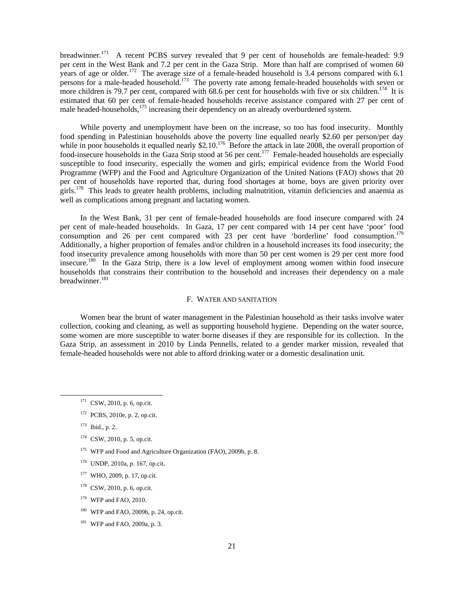breadwinner.<sup>171</sup> A recent PCBS survey revealed that 9 per cent of households are female-headed: 9.9 per cent in the West Bank and 7.2 per cent in the Gaza Strip. More than half are comprised of women 60 years of age or older.<sup>172</sup> The average size of a female-headed household is 3.4 persons compared with 6.1 persons for a male-headed household.<sup>173</sup> The poverty rate among female-headed households with seven or more children is 79.7 per cent, compared with 68.6 per cent for households with five or six children.<sup>174</sup> It is estimated that 60 per cent of female-headed households receive assistance compared with 27 per cent of male headed-households,<sup>175</sup> increasing their dependency on an already overburdened system.

 While poverty and unemployment have been on the increase, so too has food insecurity. Monthly food spending in Palestinian households above the poverty line equalled nearly \$2.60 per person/per day while in poor households it equalled nearly \$2.10.<sup>176</sup> Before the attack in late 2008, the overall proportion of food-insecure households in the Gaza Strip stood at 56 per cent.<sup>177</sup> Female-headed households are especially susceptible to food insecurity, especially the women and girls; empirical evidence from the World Food Programme (WFP) and the Food and Agriculture Organization of the United Nations (FAO) shows that 20 per cent of households have reported that, during food shortages at home, boys are given priority over girls.178 This leads to greater health problems, including malnutrition, vitamin deficiencies and anaemia as well as complications among pregnant and lactating women.

 In the West Bank, 31 per cent of female-headed households are food insecure compared with 24 per cent of male-headed households. In Gaza, 17 per cent compared with 14 per cent have 'poor' food consumption and 26 per cent compared with 23 per cent have 'borderline' food consumption.<sup>179</sup> Additionally, a higher proportion of females and/or children in a household increases its food insecurity; the food insecurity prevalence among households with more than 50 per cent women is 29 per cent more food insecure.180 In the Gaza Strip, there is a low level of employment among women within food insecure households that constrains their contribution to the household and increases their dependency on a male breadwinner.<sup>181</sup>

#### F. WATER AND SANITATION

 Women bear the brunt of water management in the Palestinian household as their tasks involve water collection, cooking and cleaning, as well as supporting household hygiene. Depending on the water source, some women are more susceptible to water borne diseases if they are responsible for its collection. In the Gaza Strip, an assessment in 2010 by Linda Pennells, related to a gender marker mission, revealed that female-headed households were not able to afford drinking water or a domestic desalination unit.

- 174 CSW, 2010, p. 5, op.cit.
- <sup>175</sup> WFP and Food and Agriculture Organization (FAO), 2009b, p. 8.
- 176 UNDP, 2010a, p. 167, op.cit.
- 177 WHO, 2009, p. 17, op.cit.
- 178 CSW, 2010, p. 6, op.cit.
- $179$  WFP and FAO, 2010.
- $180$  WFP and FAO, 2009b, p. 24, op.cit.
- 181 WFP and FAO, 2009a, p. 3.

 $171$  CSW, 2010, p. 6, op.cit.

<sup>172</sup> PCBS, 2010e, p. 2, op.cit.

 $173$  Ibid., p. 2.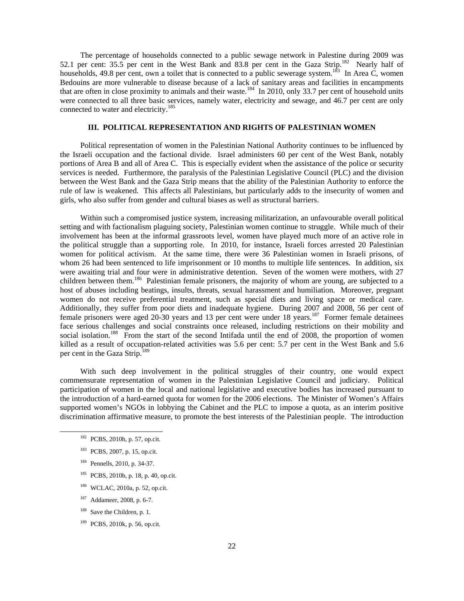The percentage of households connected to a public sewage network in Palestine during 2009 was 52.1 per cent: 35.5 per cent in the West Bank and 83.8 per cent in the Gaza Strip.<sup>182</sup> Nearly half of households, 49.8 per cent, own a toilet that is connected to a public sewerage system.<sup>183</sup> In Area C, women Bedouins are more vulnerable to disease because of a lack of sanitary areas and facilities in encampments that are often in close proximity to animals and their waste.<sup>184</sup> In 2010, only 33.7 per cent of household units were connected to all three basic services, namely water, electricity and sewage, and 46.7 per cent are only connected to water and electricity.<sup>185</sup>

## **III. POLITICAL REPRESENTATION AND RIGHTS OF PALESTINIAN WOMEN**

 Political representation of women in the Palestinian National Authority continues to be influenced by the Israeli occupation and the factional divide. Israel administers 60 per cent of the West Bank, notably portions of Area B and all of Area C. This is especially evident when the assistance of the police or security services is needed. Furthermore, the paralysis of the Palestinian Legislative Council (PLC) and the division between the West Bank and the Gaza Strip means that the ability of the Palestinian Authority to enforce the rule of law is weakened. This affects all Palestinians, but particularly adds to the insecurity of women and girls, who also suffer from gender and cultural biases as well as structural barriers.

 Within such a compromised justice system, increasing militarization, an unfavourable overall political setting and with factionalism plaguing society, Palestinian women continue to struggle. While much of their involvement has been at the informal grassroots level, women have played much more of an active role in the political struggle than a supporting role. In 2010, for instance, Israeli forces arrested 20 Palestinian women for political activism. At the same time, there were 36 Palestinian women in Israeli prisons, of whom 26 had been sentenced to life imprisonment or 10 months to multiple life sentences. In addition, six were awaiting trial and four were in administrative detention. Seven of the women were mothers, with 27 children between them.<sup>186</sup> Palestinian female prisoners, the majority of whom are young, are subjected to a host of abuses including beatings, insults, threats, sexual harassment and humiliation. Moreover, pregnant women do not receive preferential treatment, such as special diets and living space or medical care. Additionally, they suffer from poor diets and inadequate hygiene. During 2007 and 2008, 56 per cent of female prisoners were aged 20-30 years and 13 per cent were under 18 years.<sup>187</sup> Former female detainees face serious challenges and social constraints once released, including restrictions on their mobility and social isolation.<sup>188</sup> From the start of the second Intifada until the end of 2008, the proportion of women killed as a result of occupation-related activities was 5.6 per cent: 5.7 per cent in the West Bank and 5.6 per cent in the Gaza Strip.<sup>18</sup>

 With such deep involvement in the political struggles of their country, one would expect commensurate representation of women in the Palestinian Legislative Council and judiciary. Political participation of women in the local and national legislative and executive bodies has increased pursuant to the introduction of a hard-earned quota for women for the 2006 elections. The Minister of Women's Affairs supported women's NGOs in lobbying the Cabinet and the PLC to impose a quota, as an interim positive discrimination affirmative measure, to promote the best interests of the Palestinian people. The introduction

- 182 PCBS, 2010h, p. 57, op.cit.
- 183 PCBS, 2007, p. 15, op.cit.
- 184 Pennells, 2010, p. 34-37.
- 185 PCBS, 2010b, p. 18, p. 40, op.cit.
- 186 WCLAC, 2010a, p. 52, op.cit.
- 187 Addameer, 2008, p. 6-7.
- <sup>188</sup> Save the Children, p. 1.
- 189 PCBS, 2010k, p. 56, op.cit.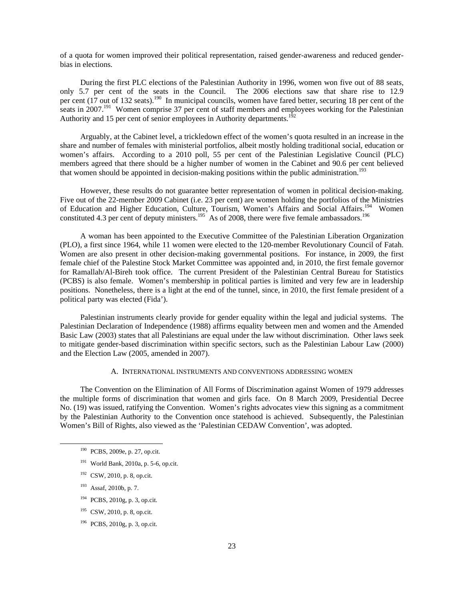of a quota for women improved their political representation, raised gender-awareness and reduced genderbias in elections.

 During the first PLC elections of the Palestinian Authority in 1996, women won five out of 88 seats, only 5.7 per cent of the seats in the Council. The 2006 elections saw that share rise to 12.9 per cent (17 out of 132 seats).<sup>190</sup> In municipal councils, women have fared better, securing 18 per cent of the seats in 2007.<sup>191</sup> Women comprise 37 per cent of staff members and employees working for the Palestinian Authority and 15 per cent of senior employees in Authority departments.<sup>192</sup>

 Arguably, at the Cabinet level, a trickledown effect of the women's quota resulted in an increase in the share and number of females with ministerial portfolios, albeit mostly holding traditional social, education or women's affairs. According to a 2010 poll, 55 per cent of the Palestinian Legislative Council (PLC) members agreed that there should be a higher number of women in the Cabinet and 90.6 per cent believed that women should be appointed in decision-making positions within the public administration.<sup>193</sup>

 However, these results do not guarantee better representation of women in political decision-making. Five out of the 22-member 2009 Cabinet (i.e. 23 per cent) are women holding the portfolios of the Ministries of Education and Higher Education, Culture, Tourism, Women's Affairs and Social Affairs.<sup>194</sup> Women constituted 4.3 per cent of deputy ministers.<sup>195</sup> As of 2008, there were five female ambassadors.<sup>196</sup>

 A woman has been appointed to the Executive Committee of the Palestinian Liberation Organization (PLO), a first since 1964, while 11 women were elected to the 120-member Revolutionary Council of Fatah. Women are also present in other decision-making governmental positions. For instance, in 2009, the first female chief of the Palestine Stock Market Committee was appointed and, in 2010, the first female governor for Ramallah/Al-Bireh took office. The current President of the Palestinian Central Bureau for Statistics (PCBS) is also female. Women's membership in political parties is limited and very few are in leadership positions. Nonetheless, there is a light at the end of the tunnel, since, in 2010, the first female president of a political party was elected (Fida').

 Palestinian instruments clearly provide for gender equality within the legal and judicial systems. The Palestinian Declaration of Independence (1988) affirms equality between men and women and the Amended Basic Law (2003) states that all Palestinians are equal under the law without discrimination. Other laws seek to mitigate gender-based discrimination within specific sectors, such as the Palestinian Labour Law (2000) and the Election Law (2005, amended in 2007).

## A. INTERNATIONAL INSTRUMENTS AND CONVENTIONS ADDRESSING WOMEN

 The Convention on the Elimination of All Forms of Discrimination against Women of 1979 addresses the multiple forms of discrimination that women and girls face. On 8 March 2009, Presidential Decree No. (19) was issued, ratifying the Convention. Women's rights advocates view this signing as a commitment by the Palestinian Authority to the Convention once statehood is achieved. Subsequently, the Palestinian Women's Bill of Rights, also viewed as the 'Palestinian CEDAW Convention', was adopted.

- 191 World Bank, 2010a, p. 5-6, op.cit.
- 192 CSW, 2010, p. 8, op.cit.
- 193 Assaf, 2010b, p. 7.
- 194 PCBS, 2010g, p. 3, op.cit.
- 195 CSW, 2010, p. 8, op.cit.
- 196 PCBS, 2010g, p. 3, op.cit.

 <sup>190</sup> PCBS, 2009e, p. 27, op.cit.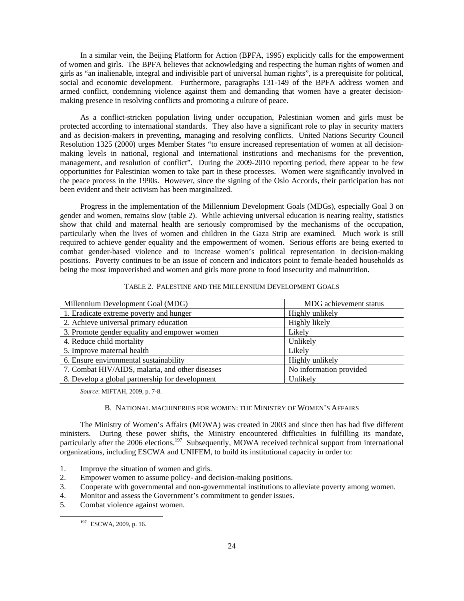In a similar vein, the Beijing Platform for Action (BPFA, 1995) explicitly calls for the empowerment of women and girls. The BPFA believes that acknowledging and respecting the human rights of women and girls as "an inalienable, integral and indivisible part of universal human rights", is a prerequisite for political, social and economic development. Furthermore, paragraphs 131-149 of the BPFA address women and armed conflict, condemning violence against them and demanding that women have a greater decisionmaking presence in resolving conflicts and promoting a culture of peace.

 As a conflict-stricken population living under occupation, Palestinian women and girls must be protected according to international standards. They also have a significant role to play in security matters and as decision-makers in preventing, managing and resolving conflicts. United Nations Security Council Resolution 1325 (2000) urges Member States "to ensure increased representation of women at all decisionmaking levels in national, regional and international institutions and mechanisms for the prevention, management, and resolution of conflict". During the 2009-2010 reporting period, there appear to be few opportunities for Palestinian women to take part in these processes. Women were significantly involved in the peace process in the 1990s. However, since the signing of the Oslo Accords, their participation has not been evident and their activism has been marginalized.

 Progress in the implementation of the Millennium Development Goals (MDGs), especially Goal 3 on gender and women, remains slow (table 2). While achieving universal education is nearing reality, statistics show that child and maternal health are seriously compromised by the mechanisms of the occupation, particularly when the lives of women and children in the Gaza Strip are examined. Much work is still required to achieve gender equality and the empowerment of women. Serious efforts are being exerted to combat gender-based violence and to increase women's political representation in decision-making positions. Poverty continues to be an issue of concern and indicators point to female-headed households as being the most impoverished and women and girls more prone to food insecurity and malnutrition.

| Millennium Development Goal (MDG)               | MDG achievement status  |  |
|-------------------------------------------------|-------------------------|--|
| 1. Eradicate extreme poverty and hunger         | Highly unlikely         |  |
| 2. Achieve universal primary education          | Highly likely           |  |
| 3. Promote gender equality and empower women    | Likely                  |  |
| 4. Reduce child mortality                       | Unlikely                |  |
| 5. Improve maternal health                      | Likely                  |  |
| 6. Ensure environmental sustainability          | Highly unlikely         |  |
| 7. Combat HIV/AIDS, malaria, and other diseases | No information provided |  |
| 8. Develop a global partnership for development | Unlikely                |  |

TABLE 2. PALESTINE AND THE MILLENNIUM DEVELOPMENT GOALS

*Source*: MIFTAH, 2009, p. 7-8.

#### B. NATIONAL MACHINERIES FOR WOMEN: THE MINISTRY OF WOMEN'S AFFAIRS

 The Ministry of Women's Affairs (MOWA) was created in 2003 and since then has had five different ministers. During these power shifts, the Ministry encountered difficulties in fulfilling its mandate, particularly after the 2006 elections.<sup>197</sup> Subsequently, MOWA received technical support from international organizations, including ESCWA and UNIFEM, to build its institutional capacity in order to:

- 1. Improve the situation of women and girls.
- 2. Empower women to assume policy- and decision-making positions.
- 3. Cooperate with governmental and non-governmental institutions to alleviate poverty among women.
- 4. Monitor and assess the Government's commitment to gender issues.
- 5. Combat violence against women.

 <sup>197</sup> ESCWA, 2009, p. 16.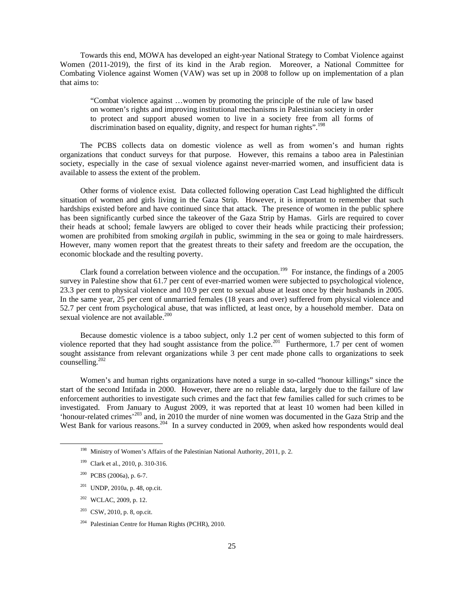Towards this end, MOWA has developed an eight-year National Strategy to Combat Violence against Women (2011-2019), the first of its kind in the Arab region. Moreover, a National Committee for Combating Violence against Women (VAW) was set up in 2008 to follow up on implementation of a plan that aims to:

"Combat violence against …women by promoting the principle of the rule of law based on women's rights and improving institutional mechanisms in Palestinian society in order to protect and support abused women to live in a society free from all forms of discrimination based on equality, dignity, and respect for human rights".<sup>198</sup>

 The PCBS collects data on domestic violence as well as from women's and human rights organizations that conduct surveys for that purpose. However, this remains a taboo area in Palestinian society, especially in the case of sexual violence against never-married women, and insufficient data is available to assess the extent of the problem.

 Other forms of violence exist. Data collected following operation Cast Lead highlighted the difficult situation of women and girls living in the Gaza Strip. However, it is important to remember that such hardships existed before and have continued since that attack. The presence of women in the public sphere has been significantly curbed since the takeover of the Gaza Strip by Hamas. Girls are required to cover their heads at school; female lawyers are obliged to cover their heads while practicing their profession; women are prohibited from smoking *argilah* in public, swimming in the sea or going to male hairdressers. However, many women report that the greatest threats to their safety and freedom are the occupation, the economic blockade and the resulting poverty.

Clark found a correlation between violence and the occupation.<sup>199</sup> For instance, the findings of a 2005 survey in Palestine show that 61.7 per cent of ever-married women were subjected to psychological violence, 23.3 per cent to physical violence and 10.9 per cent to sexual abuse at least once by their husbands in 2005. In the same year, 25 per cent of unmarried females (18 years and over) suffered from physical violence and 52.7 per cent from psychological abuse, that was inflicted, at least once, by a household member. Data on sexual violence are not available. $200$ 

 Because domestic violence is a taboo subject, only 1.2 per cent of women subjected to this form of violence reported that they had sought assistance from the police.<sup>201</sup> Furthermore, 1.7 per cent of women sought assistance from relevant organizations while 3 per cent made phone calls to organizations to seek counselling.<sup>202</sup>

 Women's and human rights organizations have noted a surge in so-called "honour killings" since the start of the second Intifada in 2000. However, there are no reliable data, largely due to the failure of law enforcement authorities to investigate such crimes and the fact that few families called for such crimes to be investigated. From January to August 2009, it was reported that at least 10 women had been killed in 'honour-related crimes'203 and, in 2010 the murder of nine women was documented in the Gaza Strip and the West Bank for various reasons.<sup>204</sup> In a survey conducted in 2009, when asked how respondents would deal

- 201 UNDP, 2010a, p. 48, op.cit.
- $202$  WCLAC, 2009, p. 12.
- $203$  CSW, 2010, p. 8, op.cit.
- 204 Palestinian Centre for Human Rights (PCHR), 2010.

 <sup>198</sup> Ministry of Women's Affairs of the Palestinian National Authority, 2011, p. 2.

<sup>199</sup> Clark et al., 2010, p. 310-316.

<sup>200</sup> PCBS (2006a), p. 6-7.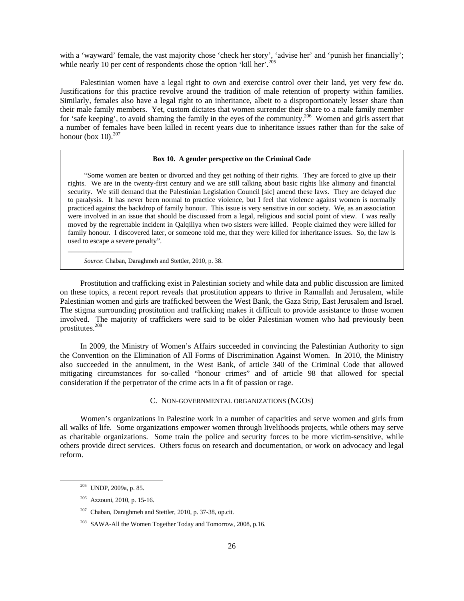with a 'wayward' female, the vast majority chose 'check her story', 'advise her' and 'punish her financially'; while nearly 10 per cent of respondents chose the option 'kill her'.<sup>205</sup>

 Palestinian women have a legal right to own and exercise control over their land, yet very few do. Justifications for this practice revolve around the tradition of male retention of property within families. Similarly, females also have a legal right to an inheritance, albeit to a disproportionately lesser share than their male family members. Yet, custom dictates that women surrender their share to a male family member for 'safe keeping', to avoid shaming the family in the eyes of the community.<sup>206</sup> Women and girls assert that a number of females have been killed in recent years due to inheritance issues rather than for the sake of honour (box  $10$ ).<sup>207</sup>

#### **Box 10. A gender perspective on the Criminal Code**

 "Some women are beaten or divorced and they get nothing of their rights. They are forced to give up their rights. We are in the twenty-first century and we are still talking about basic rights like alimony and financial security. We still demand that the Palestinian Legislation Council [sic] amend these laws. They are delayed due to paralysis. It has never been normal to practice violence, but I feel that violence against women is normally practiced against the backdrop of family honour. This issue is very sensitive in our society. We, as an association were involved in an issue that should be discussed from a legal, religious and social point of view. I was really moved by the regrettable incident in Qalqiliya when two sisters were killed. People claimed they were killed for family honour. I discovered later, or someone told me, that they were killed for inheritance issues. So, the law is used to escape a severe penalty".

 *Source*: Chaban, Daraghmeh and Stettler, 2010, p. 38.

\_\_\_\_\_\_\_\_\_\_\_\_\_\_\_\_\_\_

 Prostitution and trafficking exist in Palestinian society and while data and public discussion are limited on these topics, a recent report reveals that prostitution appears to thrive in Ramallah and Jerusalem, while Palestinian women and girls are trafficked between the West Bank, the Gaza Strip, East Jerusalem and Israel. The stigma surrounding prostitution and trafficking makes it difficult to provide assistance to those women involved. The majority of traffickers were said to be older Palestinian women who had previously been prostitutes.<sup>208</sup>

 In 2009, the Ministry of Women's Affairs succeeded in convincing the Palestinian Authority to sign the Convention on the Elimination of All Forms of Discrimination Against Women. In 2010, the Ministry also succeeded in the annulment, in the West Bank, of article 340 of the Criminal Code that allowed mitigating circumstances for so-called "honour crimes" and of article 98 that allowed for special consideration if the perpetrator of the crime acts in a fit of passion or rage.

#### C. NON-GOVERNMENTAL ORGANIZATIONS (NGOS)

 Women's organizations in Palestine work in a number of capacities and serve women and girls from all walks of life. Some organizations empower women through livelihoods projects, while others may serve as charitable organizations. Some train the police and security forces to be more victim-sensitive, while others provide direct services. Others focus on research and documentation, or work on advocacy and legal reform.

 <sup>205</sup> UNDP, 2009a, p. 85.

<sup>206</sup> Azzouni, 2010, p. 15-16.

 $207$  Chaban, Daraghmeh and Stettler, 2010, p. 37-38, op.cit.

<sup>208</sup> SAWA-All the Women Together Today and Tomorrow, 2008, p.16.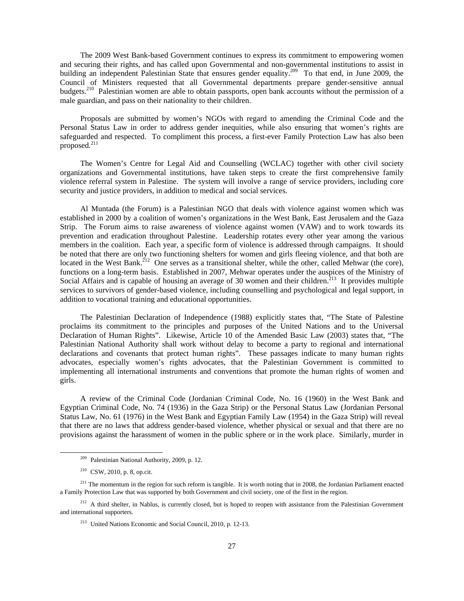The 2009 West Bank-based Government continues to express its commitment to empowering women and securing their rights, and has called upon Governmental and non-governmental institutions to assist in building an independent Palestinian State that ensures gender equality.<sup>209</sup> To that end, in June 2009, the Council of Ministers requested that all Governmental departments prepare gender-sensitive annual budgets.<sup>210</sup> Palestinian women are able to obtain passports, open bank accounts without the permission of a male guardian, and pass on their nationality to their children.

 Proposals are submitted by women's NGOs with regard to amending the Criminal Code and the Personal Status Law in order to address gender inequities, while also ensuring that women's rights are safeguarded and respected. To compliment this process, a first-ever Family Protection Law has also been proposed. $^{211}$ 

 The Women's Centre for Legal Aid and Counselling (WCLAC) together with other civil society organizations and Governmental institutions, have taken steps to create the first comprehensive family violence referral system in Palestine. The system will involve a range of service providers, including core security and justice providers, in addition to medical and social services.

 Al Muntada (the Forum) is a Palestinian NGO that deals with violence against women which was established in 2000 by a coalition of women's organizations in the West Bank, East Jerusalem and the Gaza Strip. The Forum aims to raise awareness of violence against women (VAW) and to work towards its prevention and eradication throughout Palestine. Leadership rotates every other year among the various members in the coalition. Each year, a specific form of violence is addressed through campaigns. It should be noted that there are only two functioning shelters for women and girls fleeing violence, and that both are located in the West Bank.<sup>212</sup> One serves as a transitional shelter, while the other, called Mehwar (the core), functions on a long-term basis. Established in 2007, Mehwar operates under the auspices of the Ministry of Social Affairs and is capable of housing an average of 30 women and their children.<sup>213</sup> It provides multiple services to survivors of gender-based violence, including counselling and psychological and legal support, in addition to vocational training and educational opportunities.

 The Palestinian Declaration of Independence (1988) explicitly states that, "The State of Palestine proclaims its commitment to the principles and purposes of the United Nations and to the Universal Declaration of Human Rights". Likewise, Article 10 of the Amended Basic Law (2003) states that, "The Palestinian National Authority shall work without delay to become a party to regional and international declarations and covenants that protect human rights". These passages indicate to many human rights advocates, especially women's rights advocates, that the Palestinian Government is committed to implementing all international instruments and conventions that promote the human rights of women and girls.

 A review of the Criminal Code (Jordanian Criminal Code, No. 16 (1960) in the West Bank and Egyptian Criminal Code, No. 74 (1936) in the Gaza Strip) or the Personal Status Law (Jordanian Personal Status Law, No. 61 (1976) in the West Bank and Egyptian Family Law (1954) in the Gaza Strip) will reveal that there are no laws that address gender-based violence, whether physical or sexual and that there are no provisions against the harassment of women in the public sphere or in the work place. Similarly, murder in

 <sup>209</sup> Palestinian National Authority, 2009, p. 12.

<sup>210</sup> CSW, 2010, p. 8, op.cit.

<sup>&</sup>lt;sup>211</sup> The momentum in the region for such reform is tangible. It is worth noting that in 2008, the Jordanian Parliament enacted a Family Protection Law that was supported by both Government and civil society, one of the first in the region.

<sup>&</sup>lt;sup>212</sup> A third shelter, in Nablus, is currently closed, but is hoped to reopen with assistance from the Palestinian Government and international supporters.

<sup>213</sup> United Nations Economic and Social Council, 2010, p. 12-13.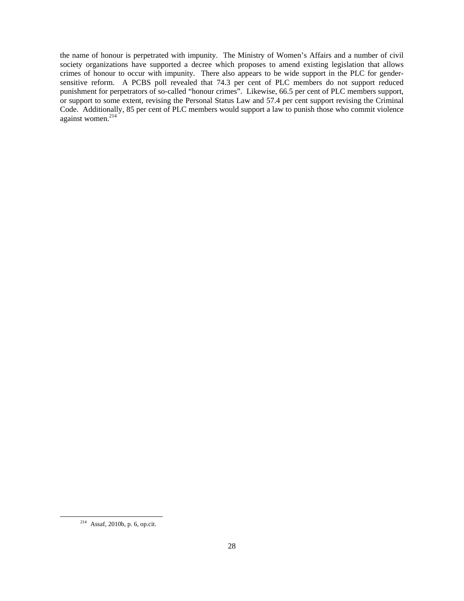the name of honour is perpetrated with impunity. The Ministry of Women's Affairs and a number of civil society organizations have supported a decree which proposes to amend existing legislation that allows crimes of honour to occur with impunity. There also appears to be wide support in the PLC for gendersensitive reform. A PCBS poll revealed that 74.3 per cent of PLC members do not support reduced punishment for perpetrators of so-called "honour crimes". Likewise, 66.5 per cent of PLC members support, or support to some extent, revising the Personal Status Law and 57.4 per cent support revising the Criminal Code. Additionally, 85 per cent of PLC members would support a law to punish those who commit violence against women.<sup>214</sup>

 <sup>214</sup> Assaf, 2010b, p. 6, op.cit.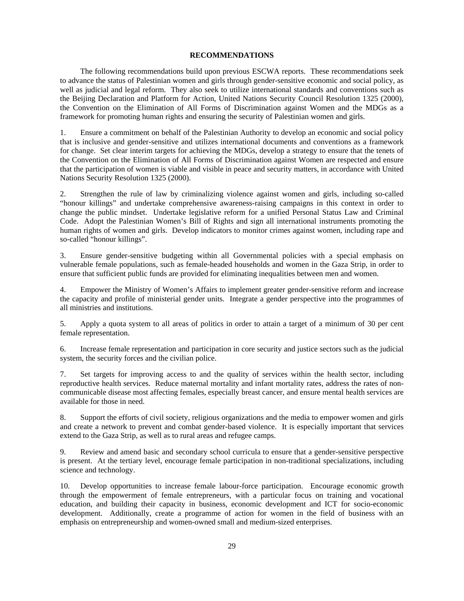## **RECOMMENDATIONS**

 The following recommendations build upon previous ESCWA reports. These recommendations seek to advance the status of Palestinian women and girls through gender-sensitive economic and social policy, as well as judicial and legal reform. They also seek to utilize international standards and conventions such as the Beijing Declaration and Platform for Action, United Nations Security Council Resolution 1325 (2000), the Convention on the Elimination of All Forms of Discrimination against Women and the MDGs as a framework for promoting human rights and ensuring the security of Palestinian women and girls.

1. Ensure a commitment on behalf of the Palestinian Authority to develop an economic and social policy that is inclusive and gender-sensitive and utilizes international documents and conventions as a framework for change. Set clear interim targets for achieving the MDGs, develop a strategy to ensure that the tenets of the Convention on the Elimination of All Forms of Discrimination against Women are respected and ensure that the participation of women is viable and visible in peace and security matters, in accordance with United Nations Security Resolution 1325 (2000).

2. Strengthen the rule of law by criminalizing violence against women and girls, including so-called "honour killings" and undertake comprehensive awareness-raising campaigns in this context in order to change the public mindset. Undertake legislative reform for a unified Personal Status Law and Criminal Code. Adopt the Palestinian Women's Bill of Rights and sign all international instruments promoting the human rights of women and girls. Develop indicators to monitor crimes against women, including rape and so-called "honour killings".

3. Ensure gender-sensitive budgeting within all Governmental policies with a special emphasis on vulnerable female populations, such as female-headed households and women in the Gaza Strip, in order to ensure that sufficient public funds are provided for eliminating inequalities between men and women.

4. Empower the Ministry of Women's Affairs to implement greater gender-sensitive reform and increase the capacity and profile of ministerial gender units. Integrate a gender perspective into the programmes of all ministries and institutions.

5. Apply a quota system to all areas of politics in order to attain a target of a minimum of 30 per cent female representation.

6. Increase female representation and participation in core security and justice sectors such as the judicial system, the security forces and the civilian police.

7. Set targets for improving access to and the quality of services within the health sector, including reproductive health services. Reduce maternal mortality and infant mortality rates, address the rates of noncommunicable disease most affecting females, especially breast cancer, and ensure mental health services are available for those in need.

8. Support the efforts of civil society, religious organizations and the media to empower women and girls and create a network to prevent and combat gender-based violence. It is especially important that services extend to the Gaza Strip, as well as to rural areas and refugee camps.

9. Review and amend basic and secondary school curricula to ensure that a gender-sensitive perspective is present. At the tertiary level, encourage female participation in non-traditional specializations, including science and technology.

10. Develop opportunities to increase female labour-force participation. Encourage economic growth through the empowerment of female entrepreneurs, with a particular focus on training and vocational education, and building their capacity in business, economic development and ICT for socio-economic development. Additionally, create a programme of action for women in the field of business with an emphasis on entrepreneurship and women-owned small and medium-sized enterprises.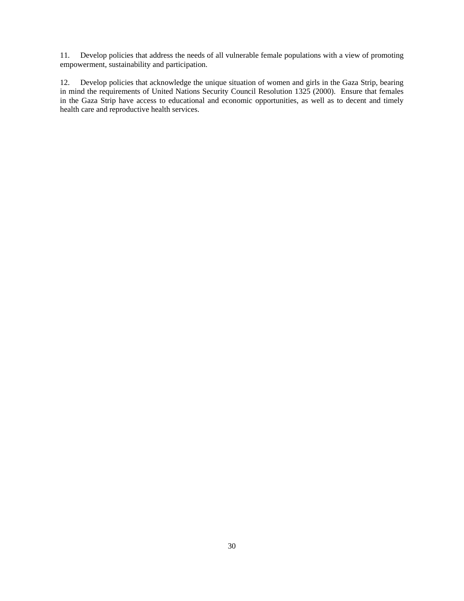11. Develop policies that address the needs of all vulnerable female populations with a view of promoting empowerment, sustainability and participation.

12. Develop policies that acknowledge the unique situation of women and girls in the Gaza Strip, bearing in mind the requirements of United Nations Security Council Resolution 1325 (2000). Ensure that females in the Gaza Strip have access to educational and economic opportunities, as well as to decent and timely health care and reproductive health services.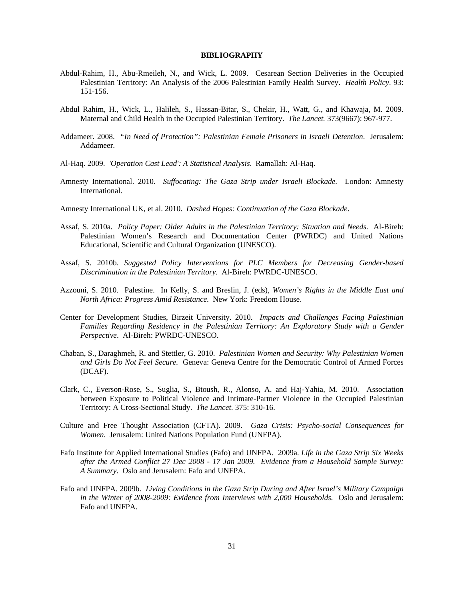#### **BIBLIOGRAPHY**

- Abdul-Rahim, H., Abu-Rmeileh, N., and Wick, L. 2009. Cesarean Section Deliveries in the Occupied Palestinian Territory: An Analysis of the 2006 Palestinian Family Health Survey. *Health Policy*. 93: 151-156.
- Abdul Rahim, H., Wick, L., Halileh, S., Hassan-Bitar, S., Chekir, H., Watt, G., and Khawaja, M. 2009. Maternal and Child Health in the Occupied Palestinian Territory. *The Lancet.* 373(9667): 967-977.
- Addameer. 2008. *"In Need of Protection": Palestinian Female Prisoners in Israeli Detention*. Jerusalem: Addameer.
- Al-Haq. 2009. *'Operation Cast Lead': A Statistical Analysis*. Ramallah: Al-Haq.
- Amnesty International. 2010. *Suffocating: The Gaza Strip under Israeli Blockade.* London: Amnesty International.
- Amnesty International UK, et al. 2010. *Dashed Hopes: Continuation of the Gaza Blockade*.
- Assaf, S. 2010a. *Policy Paper: Older Adults in the Palestinian Territory: Situation and Needs*. Al-Bireh: Palestinian Women's Research and Documentation Center (PWRDC) and United Nations Educational, Scientific and Cultural Organization (UNESCO).
- Assaf, S. 2010b. *Suggested Policy Interventions for PLC Members for Decreasing Gender-based Discrimination in the Palestinian Territory.* Al-Bireh: PWRDC-UNESCO.
- Azzouni, S. 2010. Palestine. In Kelly, S. and Breslin, J. (eds), *Women's Rights in the Middle East and North Africa: Progress Amid Resistance.* New York: Freedom House.
- Center for Development Studies, Birzeit University. 2010. *Impacts and Challenges Facing Palestinian Families Regarding Residency in the Palestinian Territory: An Exploratory Study with a Gender Perspective*. Al-Bireh: PWRDC-UNESCO.
- Chaban, S., Daraghmeh, R. and Stettler, G. 2010. *Palestinian Women and Security: Why Palestinian Women and Girls Do Not Feel Secure.* Geneva: Geneva Centre for the Democratic Control of Armed Forces (DCAF).
- Clark, C., Everson-Rose, S., Suglia, S., Btoush, R., Alonso, A. and Haj-Yahia, M. 2010. Association between Exposure to Political Violence and Intimate-Partner Violence in the Occupied Palestinian Territory: A Cross-Sectional Study. *The Lancet*. 375: 310-16.
- Culture and Free Thought Association (CFTA). 2009. *Gaza Crisis: Psycho-social Consequences for Women*. Jerusalem: United Nations Population Fund (UNFPA).
- Fafo Institute for Applied International Studies (Fafo) and UNFPA. 2009a. *Life in the Gaza Strip Six Weeks after the Armed Conflict 27 Dec 2008 - 17 Jan 2009. Evidence from a Household Sample Survey: A Summary.* Oslo and Jerusalem: Fafo and UNFPA.
- Fafo and UNFPA. 2009b. *Living Conditions in the Gaza Strip During and After Israel's Military Campaign in the Winter of 2008-2009: Evidence from Interviews with 2,000 Households.* Oslo and Jerusalem: Fafo and UNFPA.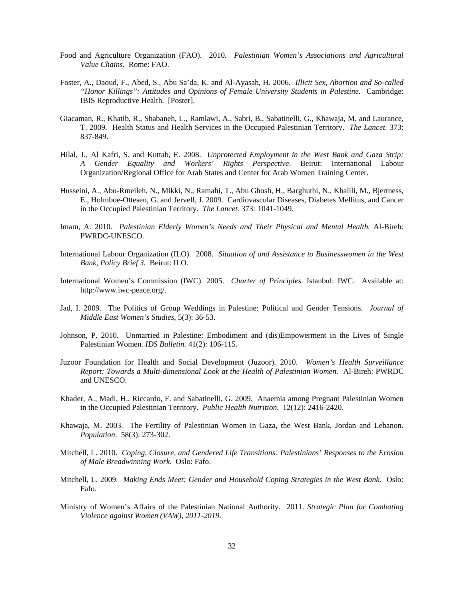- Food and Agriculture Organization (FAO). 2010. *Palestinian Women's Associations and Agricultural Value Chains*. Rome: FAO.
- Foster, A., Daoud, F., Abed, S., Abu Sa'da, K. and Al-Ayasah, H. 2006. *Illicit Sex, Abortion and So-called "Honor Killings": Attitudes and Opinions of Female University Students in Palestine*. Cambridge: IBIS Reproductive Health. [Poster].
- Giacaman, R., Khatib, R., Shabaneh, L., Ramlawi, A., Sabri, B., Sabatinelli, G., Khawaja, M. and Laurance, T. 2009. Health Status and Health Services in the Occupied Palestinian Territory. *The Lancet*. 373: 837-849.
- Hilal, J., Al Kafri, S. and Kuttab, E. 2008. *Unprotected Employment in the West Bank and Gaza Strip: A Gender Equality and Workers' Rights Perspective*. Beirut: International Labour Organization/Regional Office for Arab States and Center for Arab Women Training Center.
- Husseini, A., Abu-Rmeileh, N., Mikki, N., Ramahi, T., Abu Ghosh, H., Barghuthi, N., Khalili, M., Bjertness, E., Holmboe-Ottesen, G. and Jervell, J. 2009. Cardiovascular Diseases, Diabetes Mellitus, and Cancer in the Occupied Palestinian Territory. *The Lancet.* 373*:* 1041-1049.
- Imam, A. 2010. *Palestinian Elderly Women's Needs and Their Physical and Mental Health.* Al-Bireh: PWRDC-UNESCO.
- International Labour Organization (ILO). 2008. *Situation of and Assistance to Businesswomen in the West Bank, Policy Brief 3.* Beirut: ILO.
- International Women's Commission (IWC). 2005. *Charter of Principles*. Istanbul: IWC. Available at: http://www.iwc-peace.org/.
- Jad, I. 2009. The Politics of Group Weddings in Palestine: Political and Gender Tensions. *Journal of Middle East Women's Studies*, 5(3): 36-53.
- Johnson, P. 2010. Unmarried in Palestine: Embodiment and (dis)Empowerment in the Lives of Single Palestinian Women*. IDS Bulletin.* 41(2): 106-115.
- Juzoor Foundation for Health and Social Development (Juzoor). 2010. *Women's Health Surveillance Report: Towards a Multi-dimensional Look at the Health of Palestinian Women*. Al-Bireh: PWRDC and UNESCO.
- Khader, A., Madi, H., Riccardo, F. and Sabatinelli, G. 2009. Anaemia among Pregnant Palestinian Women in the Occupied Palestinian Territory. *Public Health Nutrition*. 12(12): 2416-2420.
- Khawaja, M. 2003. The Fertility of Palestinian Women in Gaza, the West Bank, Jordan and Lebanon. *Population*. 58(3): 273-302.
- Mitchell, L. 2010. *Coping, Closure, and Gendered Life Transitions: Palestinians' Responses to the Erosion of Male Breadwinning Work*. Oslo: Fafo.
- Mitchell, L. 2009. *Making Ends Meet: Gender and Household Coping Strategies in the West Bank*. Oslo: Fafo.
- Ministry of Women's Affairs of the Palestinian National Authority. 2011. *Strategic Plan for Combating Violence against Women (VAW), 2011-2019.*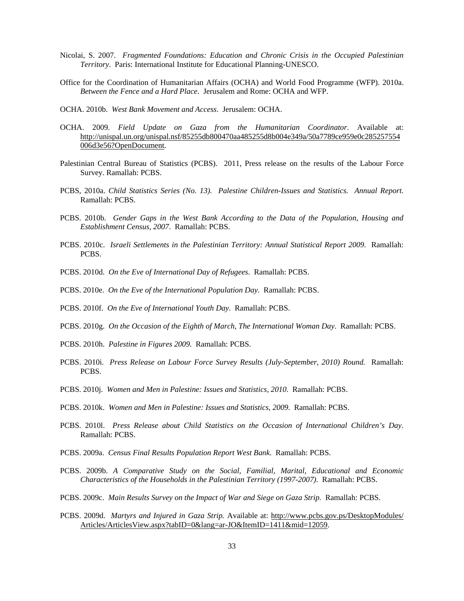- Nicolai, S. 2007. *Fragmented Foundations: Education and Chronic Crisis in the Occupied Palestinian Territory*. Paris: International Institute for Educational Planning-UNESCO.
- Office for the Coordination of Humanitarian Affairs (OCHA) and World Food Programme (WFP). 2010a. *Between the Fence and a Hard Place*. Jerusalem and Rome: OCHA and WFP.
- OCHA. 2010b. *West Bank Movement and Access*. Jerusalem: OCHA.
- OCHA. 2009. *Field Update on Gaza from the Humanitarian Coordinator*. Available at: http://unispal.un.org/unispal.nsf/85255db800470aa485255d8b004e349a/50a7789ce959e0c285257554 006d3e56?OpenDocument.
- Palestinian Central Bureau of Statistics (PCBS). 2011, Press release on the results of the Labour Force Survey. Ramallah: PCBS.
- PCBS, 2010a. *Child Statistics Series (No. 13). Palestine Children-Issues and Statistics. Annual Report.*  Ramallah: PCBS.
- PCBS. 2010b. *Gender Gaps in the West Bank According to the Data of the Population, Housing and Establishment Census, 2007*. Ramallah: PCBS.
- PCBS. 2010c. *Israeli Settlements in the Palestinian Territory: Annual Statistical Report 2009*. Ramallah: PCBS.
- PCBS. 2010d. *On the Eve of International Day of Refugees*. Ramallah: PCBS.
- PCBS. 2010e. *On the Eve of the International Population Day*. Ramallah: PCBS.
- PCBS. 2010f. *On the Eve of International Youth Day*. Ramallah: PCBS.
- PCBS. 2010g. *On the Occasion of the Eighth of March, The International Woman Day*. Ramallah: PCBS.
- PCBS. 2010h. *Palestine in Figures 2009*. Ramallah: PCBS.
- PCBS. 2010i. *Press Release on Labour Force Survey Results (July-September, 2010) Round.* Ramallah: PCBS.
- PCBS. 2010j. *Women and Men in Palestine: Issues and Statistics, 2010*. Ramallah: PCBS.
- PCBS. 2010k. *Women and Men in Palestine: Issues and Statistics, 2009*. Ramallah: PCBS.
- PCBS. 2010l. *Press Release about Child Statistics on the Occasion of International Children's Day*. Ramallah: PCBS.
- PCBS. 2009a. *Census Final Results Population Report West Bank*. Ramallah: PCBS.
- PCBS. 2009b. *A Comparative Study on the Social, Familial, Marital, Educational and Economic Characteristics of the Households in the Palestinian Territory (1997-2007).* Ramallah: PCBS.
- PCBS. 2009c. *Main Results Survey on the Impact of War and Siege on Gaza Strip.* Ramallah: PCBS.
- PCBS. 2009d. Martyrs and Injured in Gaza Strip. Available at: http://www.pcbs.gov.ps/DesktopModules/ Articles/ArticlesView.aspx?tabID=0&lang=ar-JO&ItemID=1411&mid=12059.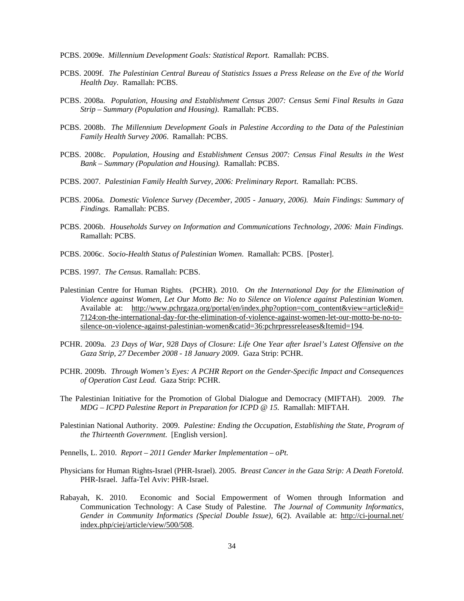PCBS. 2009e. *Millennium Development Goals: Statistical Report*. Ramallah: PCBS.

- PCBS. 2009f. *The Palestinian Central Bureau of Statistics Issues a Press Release on the Eve of the World Health Day*. Ramallah: PCBS.
- PCBS. 2008a. *Population, Housing and Establishment Census 2007: Census Semi Final Results in Gaza Strip – Summary (Population and Housing)*. Ramallah: PCBS.
- PCBS. 2008b. *The Millennium Development Goals in Palestine According to the Data of the Palestinian Family Health Survey 2006*. Ramallah: PCBS.
- PCBS. 2008c. *Population, Housing and Establishment Census 2007: Census Final Results in the West Bank – Summary (Population and Housing).* Ramallah: PCBS.
- PCBS. 2007. *Palestinian Family Health Survey, 2006: Preliminary Report*. Ramallah: PCBS.
- PCBS. 2006a. *Domestic Violence Survey (December, 2005 January, 2006). Main Findings: Summary of Findings*. Ramallah: PCBS.
- PCBS. 2006b. *Households Survey on Information and Communications Technology, 2006: Main Findings.* Ramallah: PCBS.
- PCBS. 2006c. *Socio-Health Status of Palestinian Women*. Ramallah: PCBS. [Poster].
- PCBS. 1997. *The Census*. Ramallah: PCBS.
- Palestinian Centre for Human Rights. (PCHR). 2010. *On the International Day for the Elimination of Violence against Women, Let Our Motto Be: No to Silence on Violence against Palestinian Women.* Available at: http://www.pchrgaza.org/portal/en/index.php?option=com\_content&view=article&id= 7124:on-the-international-day-for-the-elimination-of-violence-against-women-let-our-motto-be-no-tosilence-on-violence-against-palestinian-women&catid=36:pchrpressreleases&Itemid=194.
- PCHR. 2009a. *23 Days of War, 928 Days of Closure: Life One Year after Israel's Latest Offensive on the Gaza Strip, 27 December 2008 - 18 January 2009*. Gaza Strip: PCHR.
- PCHR. 2009b. *Through Women's Eyes: A PCHR Report on the Gender-Specific Impact and Consequences of Operation Cast Lead.* Gaza Strip: PCHR.
- The Palestinian Initiative for the Promotion of Global Dialogue and Democracy (MIFTAH). 2009. *The MDG – ICPD Palestine Report in Preparation for ICPD @ 15*. Ramallah: MIFTAH.
- Palestinian National Authority. 2009. *Palestine: Ending the Occupation, Establishing the State, Program of the Thirteenth Government*. [English version].
- Pennells, L. 2010. *Report 2011 Gender Marker Implementation oPt.*
- Physicians for Human Rights-Israel (PHR-Israel). 2005. *Breast Cancer in the Gaza Strip: A Death Foretold*. PHR-Israel. Jaffa-Tel Aviv: PHR-Israel.
- Rabayah, K. 2010. Economic and Social Empowerment of Women through Information and Communication Technology: A Case Study of Palestine*. The Journal of Community Informatics, Gender in Community Informatics (Special Double Issue),* 6(2). Available at: http://ci-journal.net/ index.php/ciej/article/view/500/508.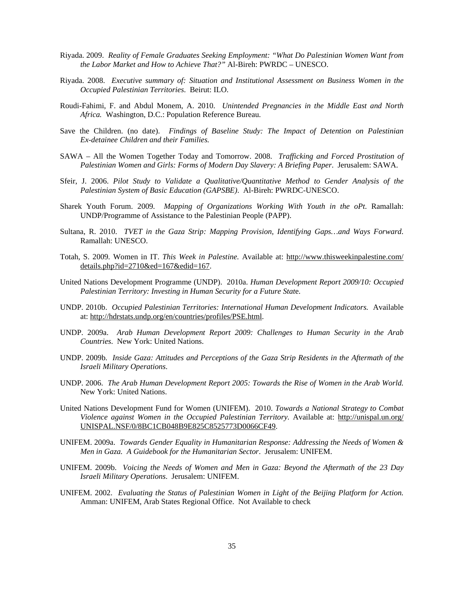- Riyada. 2009. *Reality of Female Graduates Seeking Employment: "What Do Palestinian Women Want from the Labor Market and How to Achieve That?"* Al-Bireh: PWRDC – UNESCO.
- Riyada. 2008. *Executive summary of: Situation and Institutional Assessment on Business Women in the Occupied Palestinian Territories*. Beirut: ILO.
- Roudi-Fahimi, F. and Abdul Monem, A. 2010. *Unintended Pregnancies in the Middle East and North Africa.* Washington, D.C.: Population Reference Bureau.
- Save the Children. (no date). *Findings of Baseline Study: The Impact of Detention on Palestinian Ex-detainee Children and their Families.*
- SAWA All the Women Together Today and Tomorrow. 2008. *Trafficking and Forced Prostitution of Palestinian Women and Girls: Forms of Modern Day Slavery: A Briefing Paper*. Jerusalem: SAWA.
- Sfeir, J. 2006. *Pilot Study to Validate a Qualitative/Quantitative Method to Gender Analysis of the Palestinian System of Basic Education (GAPSBE)*. Al-Bireh: PWRDC-UNESCO.
- Sharek Youth Forum. 2009. *Mapping of Organizations Working With Youth in the oPt*. Ramallah: UNDP/Programme of Assistance to the Palestinian People (PAPP).
- Sultana, R. 2010. *TVET in the Gaza Strip: Mapping Provision, Identifying Gaps…and Ways Forward*. Ramallah: UNESCO.
- Totah, S. 2009. Women in IT. *This Week in Palestine.* Available at: http://www.thisweekinpalestine.com/ details.php?id=2710&ed=167&edid=167.
- United Nations Development Programme (UNDP). 2010a. *Human Development Report 2009/10: Occupied Palestinian Territory: Investing in Human Security for a Future Stat*e.
- UNDP. 2010b. *Occupied Palestinian Territories: International Human Development Indicators.* Available at: http://hdrstats.undp.org/en/countries/profiles/PSE.html.
- UNDP. 2009a. *Arab Human Development Report 2009: Challenges to Human Security in the Arab Countries*. New York: United Nations.
- UNDP. 2009b. *Inside Gaza: Attitudes and Perceptions of the Gaza Strip Residents in the Aftermath of the Israeli Military Operations*.
- UNDP. 2006. *The Arab Human Development Report 2005: Towards the Rise of Women in the Arab World.* New York: United Nations.
- United Nations Development Fund for Women (UNIFEM). 2010. *Towards a National Strategy to Combat Violence against Women in the Occupied Palestinian Territory.* Available at: http://unispal.un.org/ UNISPAL.NSF/0/8BC1CB048B9E825C8525773D0066CF49.
- UNIFEM. 2009a. *Towards Gender Equality in Humanitarian Response: Addressing the Needs of Women & Men in Gaza. A Guidebook for the Humanitarian Sector*. Jerusalem: UNIFEM.
- UNIFEM. 2009b. *Voicing the Needs of Women and Men in Gaza: Beyond the Aftermath of the 23 Day Israeli Military Operations*. Jerusalem: UNIFEM.
- UNIFEM. 2002. *Evaluating the Status of Palestinian Women in Light of the Beijing Platform for Action.* Amman: UNIFEM, Arab States Regional Office. Not Available to check